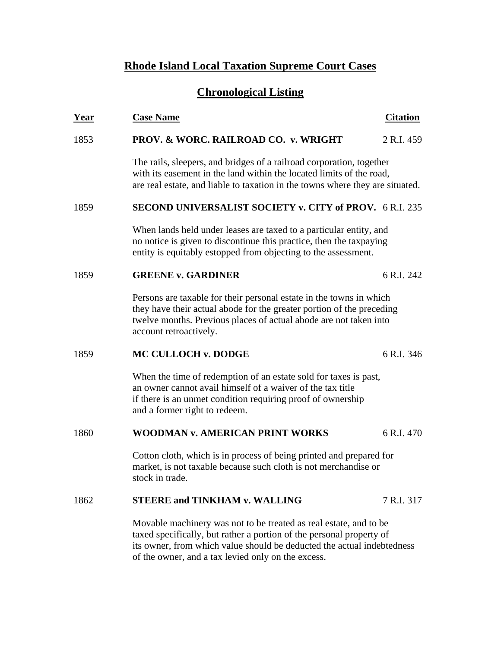# **Rhode Island Local Taxation Supreme Court Cases**

# **Chronological Listing**

| <u>Year</u> | <b>Case Name</b>                                                                                                                                                                                                                                                          | <b>Citation</b> |
|-------------|---------------------------------------------------------------------------------------------------------------------------------------------------------------------------------------------------------------------------------------------------------------------------|-----------------|
| 1853        | PROV. & WORC. RAILROAD CO. v. WRIGHT                                                                                                                                                                                                                                      | 2 R.I. 459      |
|             | The rails, sleepers, and bridges of a railroad corporation, together<br>with its easement in the land within the located limits of the road,<br>are real estate, and liable to taxation in the towns where they are situated.                                             |                 |
| 1859        | <b>SECOND UNIVERSALIST SOCIETY v. CITY of PROV.</b> 6 R.I. 235                                                                                                                                                                                                            |                 |
|             | When lands held under leases are taxed to a particular entity, and<br>no notice is given to discontinue this practice, then the taxpaying<br>entity is equitably estopped from objecting to the assessment.                                                               |                 |
| 1859        | <b>GREENE v. GARDINER</b>                                                                                                                                                                                                                                                 | 6 R.I. 242      |
|             | Persons are taxable for their personal estate in the towns in which<br>they have their actual abode for the greater portion of the preceding<br>twelve months. Previous places of actual abode are not taken into<br>account retroactively.                               |                 |
| 1859        | <b>MC CULLOCH v. DODGE</b>                                                                                                                                                                                                                                                | 6 R.I. 346      |
|             | When the time of redemption of an estate sold for taxes is past,<br>an owner cannot avail himself of a waiver of the tax title<br>if there is an unmet condition requiring proof of ownership<br>and a former right to redeem.                                            |                 |
| 1860        | <b>WOODMAN v. AMERICAN PRINT WORKS</b>                                                                                                                                                                                                                                    | 6 R.I. 470      |
|             | Cotton cloth, which is in process of being printed and prepared for<br>market, is not taxable because such cloth is not merchandise or<br>stock in trade.                                                                                                                 |                 |
| 1862        | <b>STEERE and TINKHAM v. WALLING</b>                                                                                                                                                                                                                                      | 7 R.I. 317      |
|             | Movable machinery was not to be treated as real estate, and to be<br>taxed specifically, but rather a portion of the personal property of<br>its owner, from which value should be deducted the actual indebtedness<br>of the owner, and a tax levied only on the excess. |                 |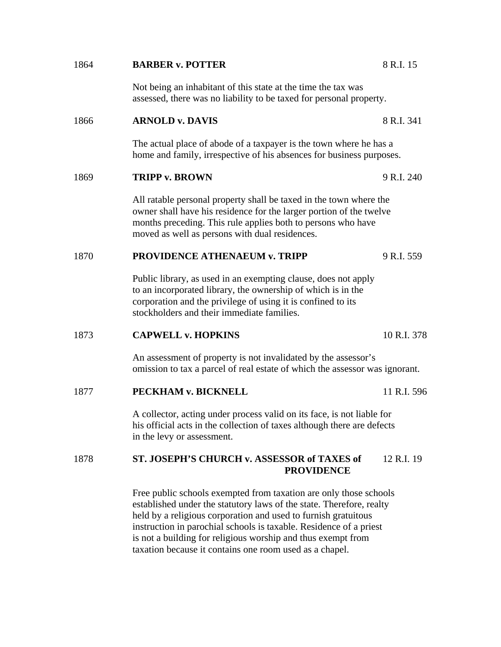| 1864 | <b>BARBER v. POTTER</b>                                                                                                                                                                                                                                                                                                                           | 8 R.I. 15   |
|------|---------------------------------------------------------------------------------------------------------------------------------------------------------------------------------------------------------------------------------------------------------------------------------------------------------------------------------------------------|-------------|
|      | Not being an inhabitant of this state at the time the tax was<br>assessed, there was no liability to be taxed for personal property.                                                                                                                                                                                                              |             |
| 1866 | <b>ARNOLD v. DAVIS</b>                                                                                                                                                                                                                                                                                                                            | 8 R.I. 341  |
|      | The actual place of abode of a taxpayer is the town where he has a<br>home and family, irrespective of his absences for business purposes.                                                                                                                                                                                                        |             |
| 1869 | <b>TRIPP v. BROWN</b>                                                                                                                                                                                                                                                                                                                             | 9 R.I. 240  |
|      | All ratable personal property shall be taxed in the town where the<br>owner shall have his residence for the larger portion of the twelve<br>months preceding. This rule applies both to persons who have<br>moved as well as persons with dual residences.                                                                                       |             |
| 1870 | <b>PROVIDENCE ATHENAEUM v. TRIPP</b>                                                                                                                                                                                                                                                                                                              | 9 R.I. 559  |
|      | Public library, as used in an exempting clause, does not apply<br>to an incorporated library, the ownership of which is in the<br>corporation and the privilege of using it is confined to its<br>stockholders and their immediate families.                                                                                                      |             |
| 1873 | <b>CAPWELL v. HOPKINS</b>                                                                                                                                                                                                                                                                                                                         | 10 R.I. 378 |
|      | An assessment of property is not invalidated by the assessor's<br>omission to tax a parcel of real estate of which the assessor was ignorant.                                                                                                                                                                                                     |             |
| 1877 | PECKHAM v. BICKNELL                                                                                                                                                                                                                                                                                                                               | 11 R.I. 596 |
|      | A collector, acting under process valid on its face, is not liable for<br>his official acts in the collection of taxes although there are defects<br>in the levy or assessment.                                                                                                                                                                   |             |
| 1878 | ST. JOSEPH'S CHURCH v. ASSESSOR of TAXES of<br><b>PROVIDENCE</b>                                                                                                                                                                                                                                                                                  | 12 R.I. 19  |
|      | Free public schools exempted from taxation are only those schools<br>established under the statutory laws of the state. Therefore, realty<br>held by a religious corporation and used to furnish gratuitous<br>instruction in parochial schools is taxable. Residence of a priest<br>is not a building for religious worship and thus exempt from |             |

taxation because it contains one room used as a chapel.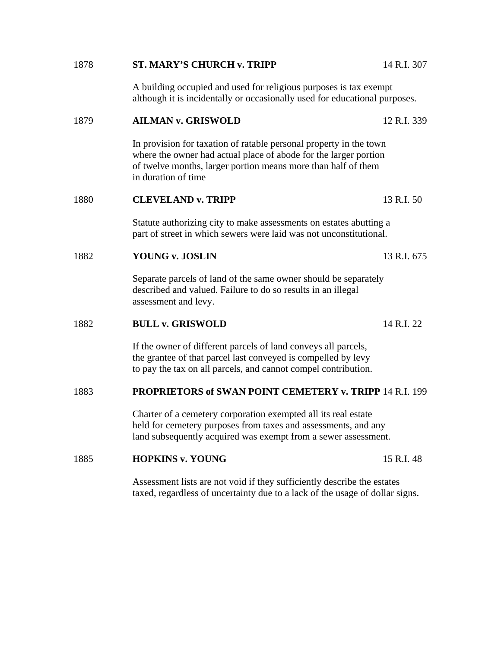| 1878 | <b>ST. MARY'S CHURCH v. TRIPP</b>                                                                                                                                                                                              | 14 R.I. 307 |
|------|--------------------------------------------------------------------------------------------------------------------------------------------------------------------------------------------------------------------------------|-------------|
|      | A building occupied and used for religious purposes is tax exempt<br>although it is incidentally or occasionally used for educational purposes.                                                                                |             |
| 1879 | <b>AILMAN v. GRISWOLD</b>                                                                                                                                                                                                      | 12 R.I. 339 |
|      | In provision for taxation of ratable personal property in the town<br>where the owner had actual place of abode for the larger portion<br>of twelve months, larger portion means more than half of them<br>in duration of time |             |
| 1880 | <b>CLEVELAND v. TRIPP</b>                                                                                                                                                                                                      | 13 R.I. 50  |
|      | Statute authorizing city to make assessments on estates abutting a<br>part of street in which sewers were laid was not unconstitutional.                                                                                       |             |
| 1882 | YOUNG v. JOSLIN                                                                                                                                                                                                                | 13 R.I. 675 |
|      | Separate parcels of land of the same owner should be separately<br>described and valued. Failure to do so results in an illegal<br>assessment and levy.                                                                        |             |
| 1882 | <b>BULL v. GRISWOLD</b>                                                                                                                                                                                                        | 14 R.I. 22  |
|      | If the owner of different parcels of land conveys all parcels,<br>the grantee of that parcel last conveyed is compelled by levy<br>to pay the tax on all parcels, and cannot compel contribution.                              |             |
| 1883 | <b>PROPRIETORS of SWAN POINT CEMETERY v. TRIPP 14 R.I. 199</b>                                                                                                                                                                 |             |
|      | Charter of a cemetery corporation exempted all its real estate<br>held for cemetery purposes from taxes and assessments, and any<br>land subsequently acquired was exempt from a sewer assessment.                             |             |
| 1885 | <b>HOPKINS v. YOUNG</b>                                                                                                                                                                                                        | 15 R.I. 48  |
|      | A consequence of $\mathcal{H}_{\text{c}}$ and $\mathcal{H}_{\text{c}}$ and $\mathcal{H}_{\text{c}}$ and $\mathcal{H}_{\text{c}}$ and $\mathcal{H}_{\text{c}}$ and $\mathcal{H}_{\text{c}}$ and $\mathcal{H}_{\text{c}}$        |             |

 Assessment lists are not void if they sufficiently describe the estates taxed, regardless of uncertainty due to a lack of the usage of dollar signs.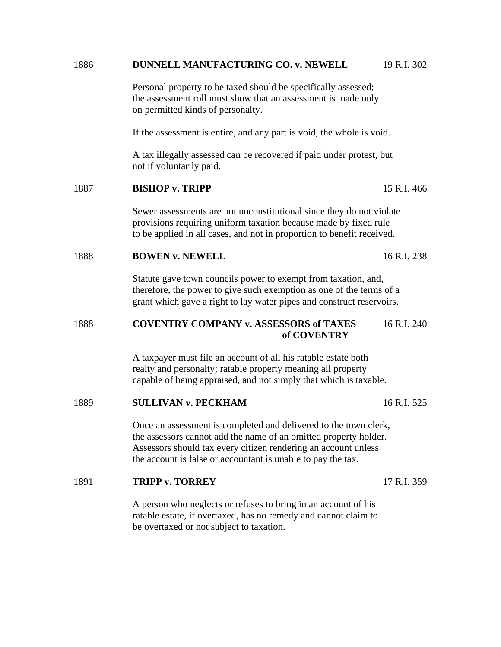| 1886 | DUNNELL MANUFACTURING CO. v. NEWELL                                                                                                                                                                                                                                    | 19 R.I. 302 |
|------|------------------------------------------------------------------------------------------------------------------------------------------------------------------------------------------------------------------------------------------------------------------------|-------------|
|      | Personal property to be taxed should be specifically assessed;<br>the assessment roll must show that an assessment is made only<br>on permitted kinds of personalty.                                                                                                   |             |
|      | If the assessment is entire, and any part is void, the whole is void.                                                                                                                                                                                                  |             |
|      | A tax illegally assessed can be recovered if paid under protest, but<br>not if voluntarily paid.                                                                                                                                                                       |             |
| 1887 | <b>BISHOP v. TRIPP</b>                                                                                                                                                                                                                                                 | 15 R.I. 466 |
|      | Sewer assessments are not unconstitutional since they do not violate<br>provisions requiring uniform taxation because made by fixed rule<br>to be applied in all cases, and not in proportion to benefit received.                                                     |             |
| 1888 | <b>BOWEN v. NEWELL</b>                                                                                                                                                                                                                                                 | 16 R.I. 238 |
|      | Statute gave town councils power to exempt from taxation, and,<br>therefore, the power to give such exemption as one of the terms of a<br>grant which gave a right to lay water pipes and construct reservoirs.                                                        |             |
| 1888 | <b>COVENTRY COMPANY v. ASSESSORS of TAXES</b><br>of COVENTRY                                                                                                                                                                                                           | 16 R.I. 240 |
|      | A taxpayer must file an account of all his ratable estate both<br>realty and personalty; ratable property meaning all property<br>capable of being appraised, and not simply that which is taxable.                                                                    |             |
| 1889 | <b>SULLIVAN v. PECKHAM</b>                                                                                                                                                                                                                                             | 16 R.I. 525 |
|      | Once an assessment is completed and delivered to the town clerk,<br>the assessors cannot add the name of an omitted property holder.<br>Assessors should tax every citizen rendering an account unless<br>the account is false or accountant is unable to pay the tax. |             |
| 1891 | <b>TRIPP v. TORREY</b>                                                                                                                                                                                                                                                 | 17 R.I. 359 |
|      | A person who neglects or refuses to bring in an account of his<br>ratable estate, if overtaxed, has no remedy and cannot claim to<br>be overtaxed or not subject to taxation.                                                                                          |             |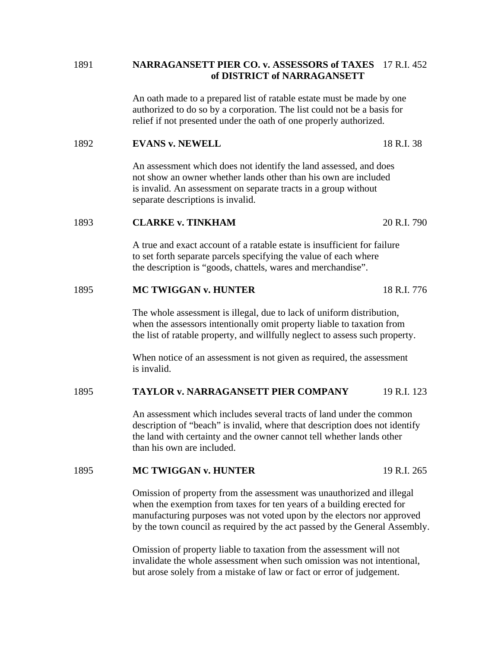# 1891 **NARRAGANSETT PIER CO. v. ASSESSORS of TAXES** 17 R.I. 452 **of DISTRICT of NARRAGANSETT**

An oath made to a prepared list of ratable estate must be made by one authorized to do so by a corporation. The list could not be a basis for relief if not presented under the oath of one properly authorized.

#### 1892 **EVANS v. NEWELL** 18 R.I. 38

 An assessment which does not identify the land assessed, and does not show an owner whether lands other than his own are included is invalid. An assessment on separate tracts in a group without separate descriptions is invalid.

#### 1893 **CLARKE v. TINKHAM** 20 R.I. 790

 A true and exact account of a ratable estate is insufficient for failure to set forth separate parcels specifying the value of each where the description is "goods, chattels, wares and merchandise".

#### 1895 **MC TWIGGAN v. HUNTER** 18 R.I. 776

 The whole assessment is illegal, due to lack of uniform distribution, when the assessors intentionally omit property liable to taxation from the list of ratable property, and willfully neglect to assess such property.

 When notice of an assessment is not given as required, the assessment is invalid.

# 1895 **TAYLOR v. NARRAGANSETT PIER COMPANY** 19 R.I. 123

 An assessment which includes several tracts of land under the common description of "beach" is invalid, where that description does not identify the land with certainty and the owner cannot tell whether lands other than his own are included.

#### 1895 **MC TWIGGAN v. HUNTER** 19 R.I. 265

 Omission of property from the assessment was unauthorized and illegal when the exemption from taxes for ten years of a building erected for manufacturing purposes was not voted upon by the electors nor approved by the town council as required by the act passed by the General Assembly.

 Omission of property liable to taxation from the assessment will not invalidate the whole assessment when such omission was not intentional, but arose solely from a mistake of law or fact or error of judgement.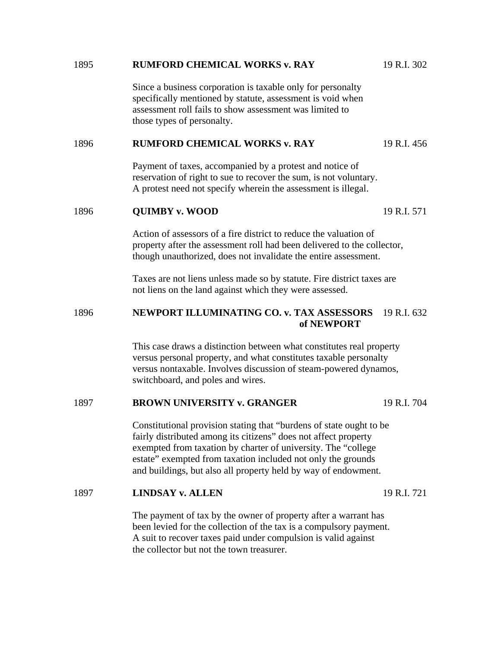| 1895 | <b>RUMFORD CHEMICAL WORKS v. RAY</b>                                                                                                                                                                                                                                                                                                      | 19 R.I. 302 |  |
|------|-------------------------------------------------------------------------------------------------------------------------------------------------------------------------------------------------------------------------------------------------------------------------------------------------------------------------------------------|-------------|--|
|      | Since a business corporation is taxable only for personalty<br>specifically mentioned by statute, assessment is void when<br>assessment roll fails to show assessment was limited to<br>those types of personalty.                                                                                                                        |             |  |
| 1896 | <b>RUMFORD CHEMICAL WORKS v. RAY</b>                                                                                                                                                                                                                                                                                                      | 19 R.I. 456 |  |
|      | Payment of taxes, accompanied by a protest and notice of<br>reservation of right to sue to recover the sum, is not voluntary.<br>A protest need not specify wherein the assessment is illegal.                                                                                                                                            |             |  |
| 1896 | <b>QUIMBY v. WOOD</b>                                                                                                                                                                                                                                                                                                                     | 19 R.I. 571 |  |
|      | Action of assessors of a fire district to reduce the valuation of<br>property after the assessment roll had been delivered to the collector,<br>though unauthorized, does not invalidate the entire assessment.                                                                                                                           |             |  |
|      | Taxes are not liens unless made so by statute. Fire district taxes are<br>not liens on the land against which they were assessed.                                                                                                                                                                                                         |             |  |
| 1896 | NEWPORT ILLUMINATING CO. v. TAX ASSESSORS<br>of NEWPORT                                                                                                                                                                                                                                                                                   | 19 R.I. 632 |  |
|      | This case draws a distinction between what constitutes real property<br>versus personal property, and what constitutes taxable personalty<br>versus nontaxable. Involves discussion of steam-powered dynamos,<br>switchboard, and poles and wires.                                                                                        |             |  |
| 1897 | <b>BROWN UNIVERSITY v. GRANGER</b>                                                                                                                                                                                                                                                                                                        | 19 R.I. 704 |  |
|      | Constitutional provision stating that "burdens of state ought to be<br>fairly distributed among its citizens" does not affect property<br>exempted from taxation by charter of university. The "college<br>estate" exempted from taxation included not only the grounds<br>and buildings, but also all property held by way of endowment. |             |  |
| 1897 | <b>LINDSAY v. ALLEN</b>                                                                                                                                                                                                                                                                                                                   | 19 R.I. 721 |  |
|      | The payment of tax by the owner of property after a warrant has<br>been levied for the collection of the tax is a compulsory payment.<br>A suit to recover taxes paid under compulsion is valid against<br>the collector but not the town treasurer.                                                                                      |             |  |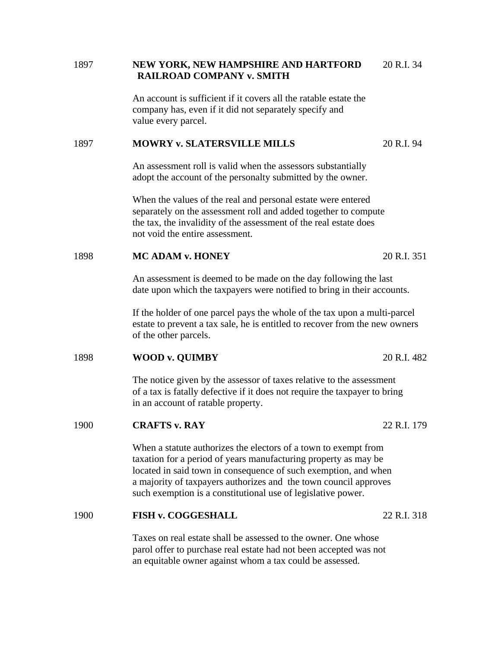# 1897 **NEW YORK, NEW HAMPSHIRE AND HARTFORD** 20 R.I. 34 **RAILROAD COMPANY v. SMITH**

 An account is sufficient if it covers all the ratable estate the company has, even if it did not separately specify and value every parcel.

# 1897 **MOWRY v. SLATERSVILLE MILLS** 20 R.I. 94

 An assessment roll is valid when the assessors substantially adopt the account of the personalty submitted by the owner.

 When the values of the real and personal estate were entered separately on the assessment roll and added together to compute the tax, the invalidity of the assessment of the real estate does not void the entire assessment.

#### 1898 **MC ADAM v. HONEY** 20 R.I. 351

 An assessment is deemed to be made on the day following the last date upon which the taxpayers were notified to bring in their accounts.

 If the holder of one parcel pays the whole of the tax upon a multi-parcel estate to prevent a tax sale, he is entitled to recover from the new owners of the other parcels.

#### 1898 **WOOD v. QUIMBY** 20 R.I. 482

 The notice given by the assessor of taxes relative to the assessment of a tax is fatally defective if it does not require the taxpayer to bring in an account of ratable property.

#### 1900 **CRAFTS v. RAY** 22 R.I. 179

 When a statute authorizes the electors of a town to exempt from taxation for a period of years manufacturing property as may be located in said town in consequence of such exemption, and when a majority of taxpayers authorizes and the town council approves such exemption is a constitutional use of legislative power.

#### 1900 **FISH v. COGGESHALL** 22 R.I. 318

 Taxes on real estate shall be assessed to the owner. One whose parol offer to purchase real estate had not been accepted was not an equitable owner against whom a tax could be assessed.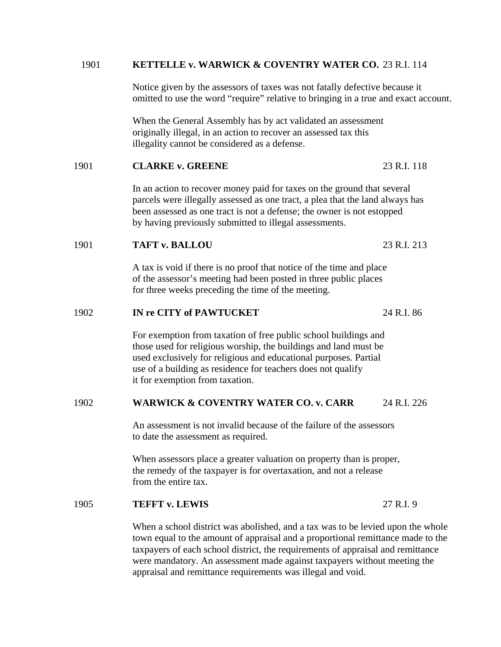#### 1901 **KETTELLE v. WARWICK & COVENTRY WATER CO.** 23 R.I. 114

 Notice given by the assessors of taxes was not fatally defective because it omitted to use the word "require" relative to bringing in a true and exact account.

 When the General Assembly has by act validated an assessment originally illegal, in an action to recover an assessed tax this illegality cannot be considered as a defense.

#### 1901 **CLARKE v. GREENE** 23 R.I. 118

 In an action to recover money paid for taxes on the ground that several parcels were illegally assessed as one tract, a plea that the land always has been assessed as one tract is not a defense; the owner is not estopped by having previously submitted to illegal assessments.

#### 1901 **TAFT v. BALLOU** 23 R.I. 213

 A tax is void if there is no proof that notice of the time and place of the assessor's meeting had been posted in three public places for three weeks preceding the time of the meeting.

#### 1902 **IN re CITY of PAWTUCKET** 24 R.I. 86

 For exemption from taxation of free public school buildings and those used for religious worship, the buildings and land must be used exclusively for religious and educational purposes. Partial use of a building as residence for teachers does not qualify it for exemption from taxation.

#### 1902 **WARWICK & COVENTRY WATER CO. v. CARR** 24 R.I. 226

 An assessment is not invalid because of the failure of the assessors to date the assessment as required.

 When assessors place a greater valuation on property than is proper, the remedy of the taxpayer is for overtaxation, and not a release from the entire tax.

#### 1905 **TEFFT v. LEWIS** 27 R.I. 9

When a school district was abolished, and a tax was to be levied upon the whole town equal to the amount of appraisal and a proportional remittance made to the taxpayers of each school district, the requirements of appraisal and remittance were mandatory. An assessment made against taxpayers without meeting the appraisal and remittance requirements was illegal and void.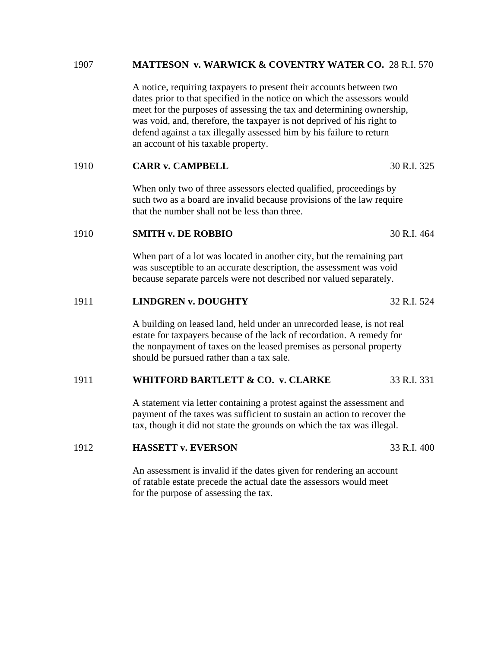#### 1907 **MATTESON v. WARWICK & COVENTRY WATER CO.** 28 R.I. 570

A notice, requiring taxpayers to present their accounts between two dates prior to that specified in the notice on which the assessors would meet for the purposes of assessing the tax and determining ownership, was void, and, therefore, the taxpayer is not deprived of his right to defend against a tax illegally assessed him by his failure to return an account of his taxable property.

#### 1910 **CARR v. CAMPBELL** 30 R.I. 325

When only two of three assessors elected qualified, proceedings by such two as a board are invalid because provisions of the law require that the number shall not be less than three.

#### 1910 **SMITH v. DE ROBBIO** 30 R.I. 464

When part of a lot was located in another city, but the remaining part was susceptible to an accurate description, the assessment was void because separate parcels were not described nor valued separately.

#### 1911 **LINDGREN v. DOUGHTY** 32 R.I. 524

A building on leased land, held under an unrecorded lease, is not real estate for taxpayers because of the lack of recordation. A remedy for the nonpayment of taxes on the leased premises as personal property should be pursued rather than a tax sale.

#### 1911 **WHITFORD BARTLETT & CO. v. CLARKE** 33 R.I. 331

A statement via letter containing a protest against the assessment and payment of the taxes was sufficient to sustain an action to recover the tax, though it did not state the grounds on which the tax was illegal.

#### 1912 **HASSETT v. EVERSON** 33 R.I. 400

An assessment is invalid if the dates given for rendering an account of ratable estate precede the actual date the assessors would meet

for the purpose of assessing the tax.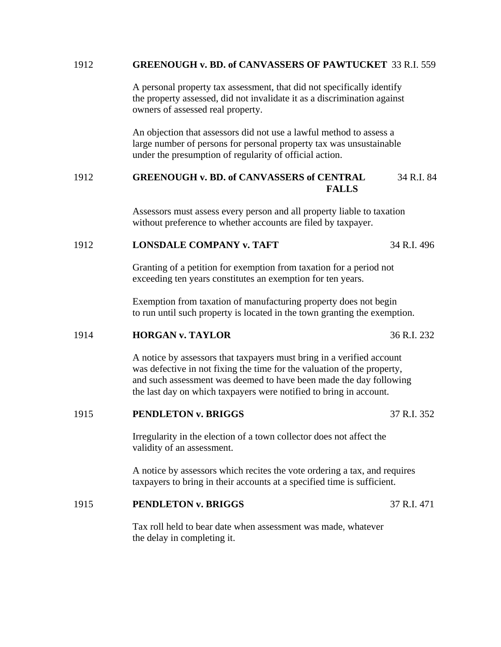#### 1912 **GREENOUGH v. BD. of CANVASSERS OF PAWTUCKET** 33 R.I. 559

 A personal property tax assessment, that did not specifically identify the property assessed, did not invalidate it as a discrimination against owners of assessed real property.

 An objection that assessors did not use a lawful method to assess a large number of persons for personal property tax was unsustainable under the presumption of regularity of official action.

# 1912 **GREENOUGH v. BD. of CANVASSERS of CENTRAL** 34 R.I. 84  **FALLS**

 Assessors must assess every person and all property liable to taxation without preference to whether accounts are filed by taxpayer.

# 1912 **LONSDALE COMPANY v. TAFT** 34 R.I. 496

 Granting of a petition for exemption from taxation for a period not exceeding ten years constitutes an exemption for ten years.

 Exemption from taxation of manufacturing property does not begin to run until such property is located in the town granting the exemption.

#### 1914 **HORGAN v. TAYLOR** 36 R.I. 232

 A notice by assessors that taxpayers must bring in a verified account was defective in not fixing the time for the valuation of the property, and such assessment was deemed to have been made the day following the last day on which taxpayers were notified to bring in account.

#### 1915 **PENDLETON v. BRIGGS** 37 R.I. 352

 Irregularity in the election of a town collector does not affect the validity of an assessment.

 A notice by assessors which recites the vote ordering a tax, and requires taxpayers to bring in their accounts at a specified time is sufficient.

#### 1915 **PENDLETON v. BRIGGS** 37 R.I. 471

 Tax roll held to bear date when assessment was made, whatever the delay in completing it.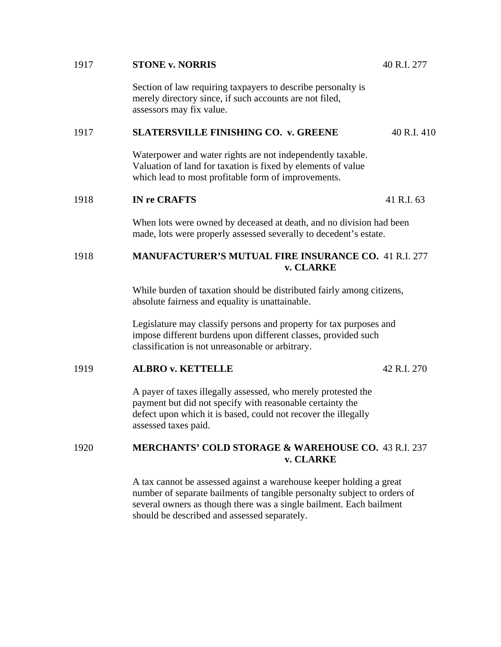# 1917 **STONE v. NORRIS** 40 R.I. 277 Section of law requiring taxpayers to describe personalty is merely directory since, if such accounts are not filed, assessors may fix value. 1917 **SLATERSVILLE FINISHING CO. v. GREENE** 40 R.I. 410 Waterpower and water rights are not independently taxable. Valuation of land for taxation is fixed by elements of value which lead to most profitable form of improvements. 1918 **IN re CRAFTS** 41 R.I. 63 When lots were owned by deceased at death, and no division had been made, lots were properly assessed severally to decedent's estate. 1918 **MANUFACTURER'S MUTUAL FIRE INSURANCE CO.** 41 R.I. 277  **v. CLARKE**  While burden of taxation should be distributed fairly among citizens, absolute fairness and equality is unattainable. Legislature may classify persons and property for tax purposes and impose different burdens upon different classes, provided such classification is not unreasonable or arbitrary.

# 1919 **ALBRO v. KETTELLE** 42 R.I. 270

 A payer of taxes illegally assessed, who merely protested the payment but did not specify with reasonable certainty the defect upon which it is based, could not recover the illegally assessed taxes paid.

# 1920 **MERCHANTS' COLD STORAGE & WAREHOUSE CO.** 43 R.I. 237 **v. CLARKE**

A tax cannot be assessed against a warehouse keeper holding a great number of separate bailments of tangible personalty subject to orders of several owners as though there was a single bailment. Each bailment should be described and assessed separately.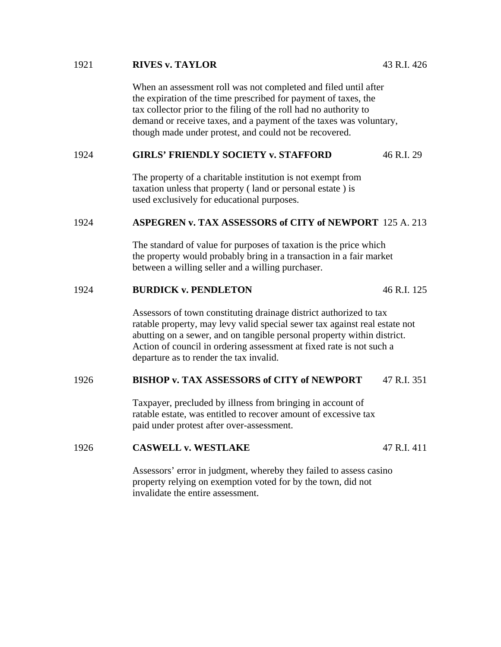#### 1921 **RIVES v. TAYLOR** 43 R.I. 426

 When an assessment roll was not completed and filed until after the expiration of the time prescribed for payment of taxes, the tax collector prior to the filing of the roll had no authority to demand or receive taxes, and a payment of the taxes was voluntary, though made under protest, and could not be recovered.

# 1924 **GIRLS' FRIENDLY SOCIETY v. STAFFORD** 46 R.I. 29

 The property of a charitable institution is not exempt from taxation unless that property ( land or personal estate ) is used exclusively for educational purposes.

# 1924 **ASPEGREN v. TAX ASSESSORS of CITY of NEWPORT** 125 A. 213

 The standard of value for purposes of taxation is the price which the property would probably bring in a transaction in a fair market between a willing seller and a willing purchaser.

# 1924 **BURDICK v. PENDLETON** 46 R.I. 125

 Assessors of town constituting drainage district authorized to tax ratable property, may levy valid special sewer tax against real estate not abutting on a sewer, and on tangible personal property within district. Action of council in ordering assessment at fixed rate is not such a departure as to render the tax invalid.

# 1926 **BISHOP v. TAX ASSESSORS of CITY of NEWPORT** 47 R.I. 351

 Taxpayer, precluded by illness from bringing in account of ratable estate, was entitled to recover amount of excessive tax paid under protest after over-assessment.

## 1926 **CASWELL v. WESTLAKE** 47 R.I. 411

 Assessors' error in judgment, whereby they failed to assess casino property relying on exemption voted for by the town, did not invalidate the entire assessment.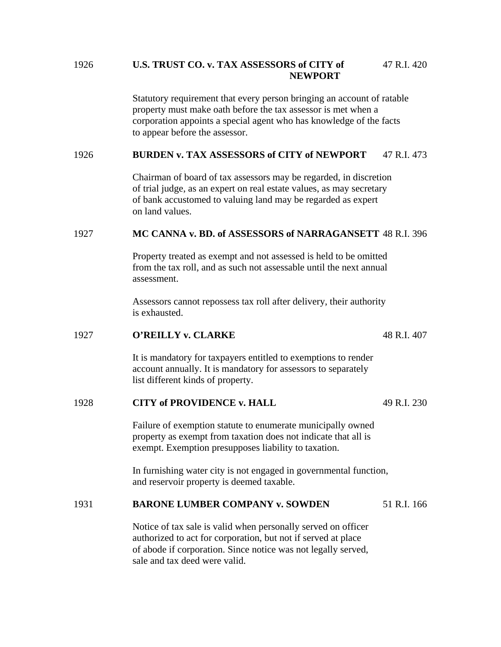# 1926 **U.S. TRUST CO. v. TAX ASSESSORS of CITY of** 47 R.I. 420 **NEWPORT**

Statutory requirement that every person bringing an account of ratable property must make oath before the tax assessor is met when a corporation appoints a special agent who has knowledge of the facts to appear before the assessor.

# 1926 **BURDEN v. TAX ASSESSORS of CITY of NEWPORT** 47 R.I. 473

 Chairman of board of tax assessors may be regarded, in discretion of trial judge, as an expert on real estate values, as may secretary of bank accustomed to valuing land may be regarded as expert on land values.

# 1927 **MC CANNA v. BD. of ASSESSORS of NARRAGANSETT** 48 R.I. 396

 Property treated as exempt and not assessed is held to be omitted from the tax roll, and as such not assessable until the next annual assessment.

 Assessors cannot repossess tax roll after delivery, their authority is exhausted.

#### 1927 **O'REILLY v. CLARKE** 48 R.I. 407

 It is mandatory for taxpayers entitled to exemptions to render account annually. It is mandatory for assessors to separately list different kinds of property.

# 1928 **CITY of PROVIDENCE v. HALL** 49 R.I. 230

 Failure of exemption statute to enumerate municipally owned property as exempt from taxation does not indicate that all is exempt. Exemption presupposes liability to taxation.

 In furnishing water city is not engaged in governmental function, and reservoir property is deemed taxable.

# 1931 **BARONE LUMBER COMPANY v. SOWDEN** 51 R.I. 166

 Notice of tax sale is valid when personally served on officer authorized to act for corporation, but not if served at place of abode if corporation. Since notice was not legally served, sale and tax deed were valid.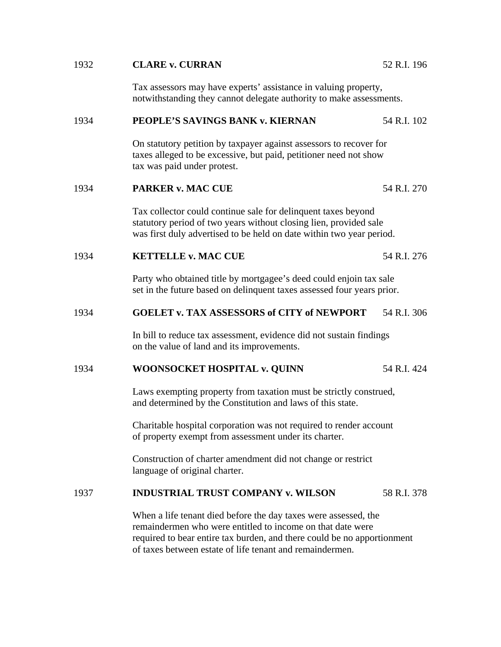# 1932 **CLARE v. CURRAN** 52 R.I. 196 Tax assessors may have experts' assistance in valuing property, notwithstanding they cannot delegate authority to make assessments. 1934 **PEOPLE'S SAVINGS BANK v. KIERNAN** 54 R.I. 102 On statutory petition by taxpayer against assessors to recover for taxes alleged to be excessive, but paid, petitioner need not show tax was paid under protest. 1934 **PARKER v. MAC CUE** 54 R.I. 270 Tax collector could continue sale for delinquent taxes beyond statutory period of two years without closing lien, provided sale was first duly advertised to be held on date within two year period. 1934 **KETTELLE v. MAC CUE** 54 R.I. 276 Party who obtained title by mortgagee's deed could enjoin tax sale set in the future based on delinquent taxes assessed four years prior. 1934 **GOELET v. TAX ASSESSORS of CITY of NEWPORT** 54 R.I. 306 In bill to reduce tax assessment, evidence did not sustain findings on the value of land and its improvements. 1934 **WOONSOCKET HOSPITAL v. QUINN** 54 R.I. 424 Laws exempting property from taxation must be strictly construed, and determined by the Constitution and laws of this state. Charitable hospital corporation was not required to render account of property exempt from assessment under its charter. Construction of charter amendment did not change or restrict language of original charter. 1937 **INDUSTRIAL TRUST COMPANY v. WILSON** 58 R.I. 378 When a life tenant died before the day taxes were assessed, the remaindermen who were entitled to income on that date were required to bear entire tax burden, and there could be no apportionment of taxes between estate of life tenant and remaindermen.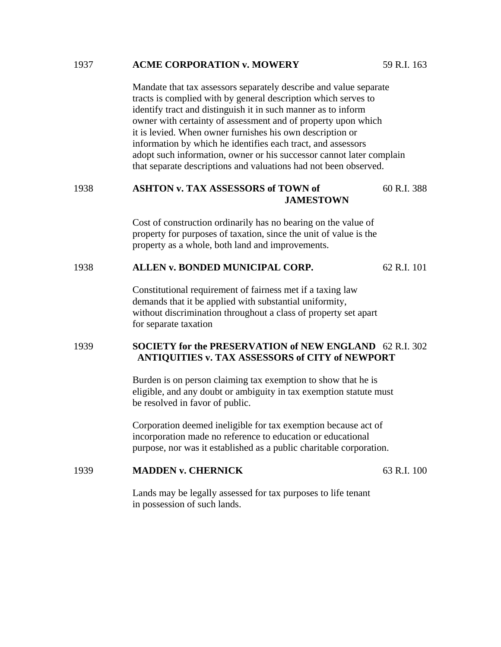#### 1937 **ACME CORPORATION v. MOWERY** 59 R.I. 163

 Mandate that tax assessors separately describe and value separate tracts is complied with by general description which serves to identify tract and distinguish it in such manner as to inform owner with certainty of assessment and of property upon which it is levied. When owner furnishes his own description or information by which he identifies each tract, and assessors adopt such information, owner or his successor cannot later complain that separate descriptions and valuations had not been observed.

# 1938 **ASHTON v. TAX ASSESSORS of TOWN of** 60 R.I. 388 **JAMESTOWN**

Cost of construction ordinarily has no bearing on the value of property for purposes of taxation, since the unit of value is the property as a whole, both land and improvements.

#### 1938 **ALLEN v. BONDED MUNICIPAL CORP.** 62 R.I. 101

 Constitutional requirement of fairness met if a taxing law demands that it be applied with substantial uniformity, without discrimination throughout a class of property set apart for separate taxation

# 1939 **SOCIETY for the PRESERVATION of NEW ENGLAND** 62 R.I. 302  **ANTIQUITIES v. TAX ASSESSORS of CITY of NEWPORT**

Burden is on person claiming tax exemption to show that he is eligible, and any doubt or ambiguity in tax exemption statute must be resolved in favor of public.

 Corporation deemed ineligible for tax exemption because act of incorporation made no reference to education or educational purpose, nor was it established as a public charitable corporation.

#### 1939 **MADDEN v. CHERNICK** 63 R.I. 100

Lands may be legally assessed for tax purposes to life tenant in possession of such lands.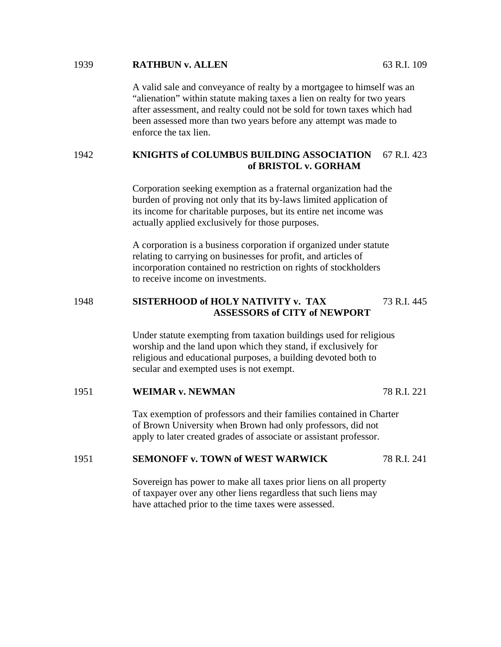#### 1939 **RATHBUN v. ALLEN** 63 R.I. 109

 A valid sale and conveyance of realty by a mortgagee to himself was an "alienation" within statute making taxes a lien on realty for two years after assessment, and realty could not be sold for town taxes which had been assessed more than two years before any attempt was made to enforce the tax lien.

# 1942 **KNIGHTS of COLUMBUS BUILDING ASSOCIATION** 67 R.I. 423  **of BRISTOL v. GORHAM**

Corporation seeking exemption as a fraternal organization had the burden of proving not only that its by-laws limited application of its income for charitable purposes, but its entire net income was actually applied exclusively for those purposes.

 A corporation is a business corporation if organized under statute relating to carrying on businesses for profit, and articles of incorporation contained no restriction on rights of stockholders to receive income on investments.

# 1948 **SISTERHOOD of HOLY NATIVITY v. TAX** 73 R.I. 445  **ASSESSORS of CITY of NEWPORT**

Under statute exempting from taxation buildings used for religious worship and the land upon which they stand, if exclusively for religious and educational purposes, a building devoted both to secular and exempted uses is not exempt.

#### 1951 **WEIMAR v. NEWMAN** 78 R.I. 221

 Tax exemption of professors and their families contained in Charter of Brown University when Brown had only professors, did not apply to later created grades of associate or assistant professor.

#### 1951 **SEMONOFF v. TOWN of WEST WARWICK** 78 R.I. 241

 Sovereign has power to make all taxes prior liens on all property of taxpayer over any other liens regardless that such liens may have attached prior to the time taxes were assessed.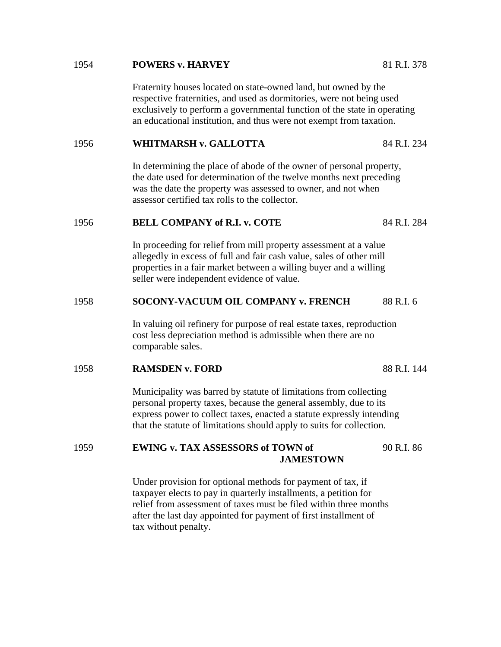#### 1954 **POWERS v. HARVEY** 81 R.I. 378

 Fraternity houses located on state-owned land, but owned by the respective fraternities, and used as dormitories, were not being used exclusively to perform a governmental function of the state in operating an educational institution, and thus were not exempt from taxation.

# 1956 **WHITMARSH v. GALLOTTA** 84 R.I. 234

 In determining the place of abode of the owner of personal property, the date used for determination of the twelve months next preceding was the date the property was assessed to owner, and not when assessor certified tax rolls to the collector.

## 1956 **BELL COMPANY of R.I. v. COTE** 84 R.I. 284

 In proceeding for relief from mill property assessment at a value allegedly in excess of full and fair cash value, sales of other mill properties in a fair market between a willing buyer and a willing seller were independent evidence of value.

## 1958 **SOCONY-VACUUM OIL COMPANY v. FRENCH** 88 R.I. 6

 In valuing oil refinery for purpose of real estate taxes, reproduction cost less depreciation method is admissible when there are no comparable sales.

## 1958 **RAMSDEN v. FORD** 88 R.I. 144

 Municipality was barred by statute of limitations from collecting personal property taxes, because the general assembly, due to its express power to collect taxes, enacted a statute expressly intending that the statute of limitations should apply to suits for collection.

# 1959 **EWING v. TAX ASSESSORS of TOWN of** 90 R.I. 86 **JAMESTOWN**

Under provision for optional methods for payment of tax, if taxpayer elects to pay in quarterly installments, a petition for relief from assessment of taxes must be filed within three months after the last day appointed for payment of first installment of tax without penalty.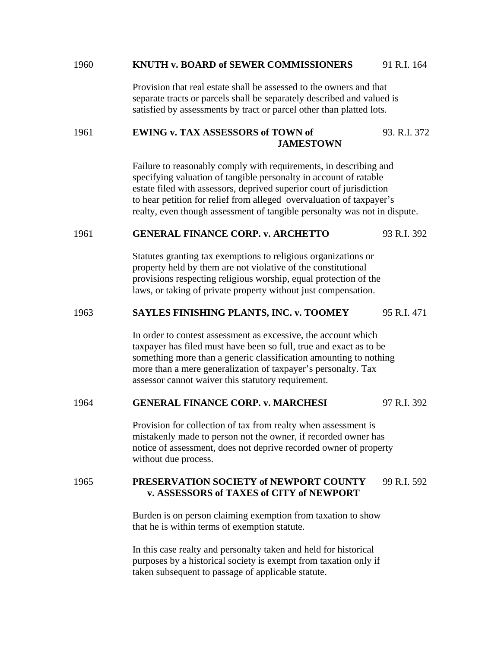#### 1960 **KNUTH v. BOARD of SEWER COMMISSIONERS** 91 R.I. 164

 Provision that real estate shall be assessed to the owners and that separate tracts or parcels shall be separately described and valued is satisfied by assessments by tract or parcel other than platted lots.

# 1961 **EWING v. TAX ASSESSORS of TOWN of** 93. R.I. 372 **JAMESTOWN**

Failure to reasonably comply with requirements, in describing and specifying valuation of tangible personalty in account of ratable estate filed with assessors, deprived superior court of jurisdiction to hear petition for relief from alleged overvaluation of taxpayer's realty, even though assessment of tangible personalty was not in dispute.

## 1961 **GENERAL FINANCE CORP. v. ARCHETTO** 93 R.I. 392

 Statutes granting tax exemptions to religious organizations or property held by them are not violative of the constitutional provisions respecting religious worship, equal protection of the laws, or taking of private property without just compensation.

## 1963 **SAYLES FINISHING PLANTS, INC. v. TOOMEY** 95 R.I. 471

 In order to contest assessment as excessive, the account which taxpayer has filed must have been so full, true and exact as to be something more than a generic classification amounting to nothing more than a mere generalization of taxpayer's personalty. Tax assessor cannot waiver this statutory requirement.

# 1964 **GENERAL FINANCE CORP. v. MARCHESI** 97 R.I. 392

 Provision for collection of tax from realty when assessment is mistakenly made to person not the owner, if recorded owner has notice of assessment, does not deprive recorded owner of property without due process.

# 1965 **PRESERVATION SOCIETY of NEWPORT COUNTY** 99 R.I. 592 **v. ASSESSORS of TAXES of CITY of NEWPORT**

Burden is on person claiming exemption from taxation to show that he is within terms of exemption statute.

 In this case realty and personalty taken and held for historical purposes by a historical society is exempt from taxation only if taken subsequent to passage of applicable statute.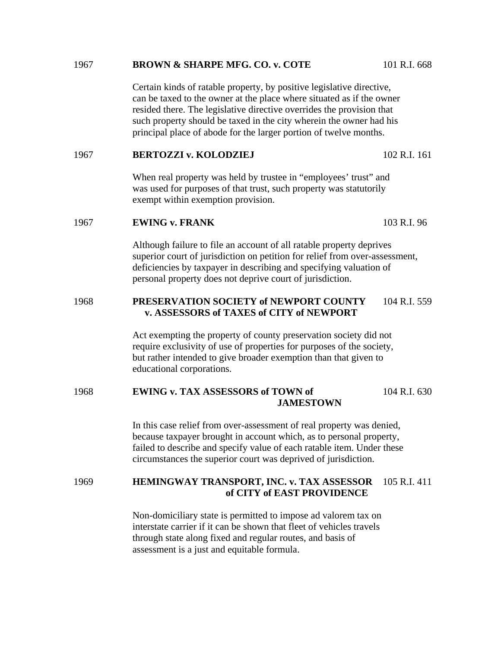#### 1967 **BROWN & SHARPE MFG. CO. v. COTE** 101 R.I. 668

 Certain kinds of ratable property, by positive legislative directive, can be taxed to the owner at the place where situated as if the owner resided there. The legislative directive overrides the provision that such property should be taxed in the city wherein the owner had his principal place of abode for the larger portion of twelve months.

#### 1967 **BERTOZZI v. KOLODZIEJ** 102 R.I. 161

When real property was held by trustee in "employees' trust" and was used for purposes of that trust, such property was statutorily exempt within exemption provision.

#### 1967 **EWING v. FRANK** 103 R.I. 96

 Although failure to file an account of all ratable property deprives superior court of jurisdiction on petition for relief from over-assessment, deficiencies by taxpayer in describing and specifying valuation of personal property does not deprive court of jurisdiction.

# 1968 **PRESERVATION SOCIETY of NEWPORT COUNTY** 104 R.I. 559 **v. ASSESSORS of TAXES of CITY of NEWPORT**

Act exempting the property of county preservation society did not require exclusivity of use of properties for purposes of the society, but rather intended to give broader exemption than that given to educational corporations.

# 1968 **EWING v. TAX ASSESSORS of TOWN of** 104 R.I. 630 **JAMESTOWN**

In this case relief from over-assessment of real property was denied, because taxpayer brought in account which, as to personal property, failed to describe and specify value of each ratable item. Under these circumstances the superior court was deprived of jurisdiction.

# 1969 **HEMINGWAY TRANSPORT, INC. v. TAX ASSESSOR** 105 R.I. 411 **of CITY of EAST PROVIDENCE**

Non-domiciliary state is permitted to impose ad valorem tax on interstate carrier if it can be shown that fleet of vehicles travels through state along fixed and regular routes, and basis of assessment is a just and equitable formula.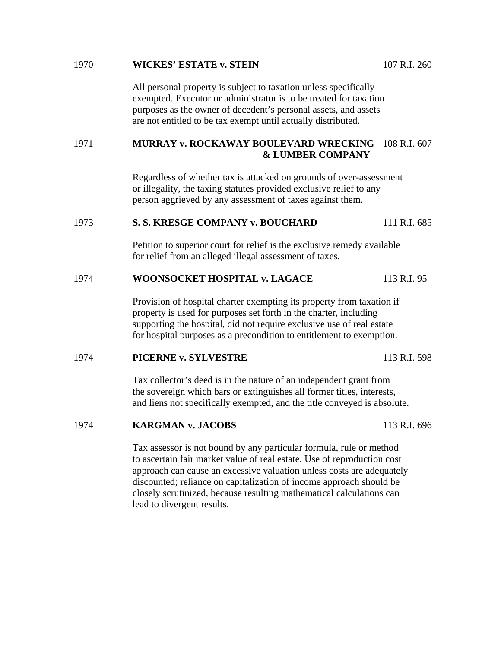# 1970 **WICKES' ESTATE v. STEIN** 107 R.I. 260 All personal property is subject to taxation unless specifically exempted. Executor or administrator is to be treated for taxation purposes as the owner of decedent's personal assets, and assets are not entitled to be tax exempt until actually distributed. 1971 **MURRAY v. ROCKAWAY BOULEVARD WRECKING** 108 R.I. 607  **& LUMBER COMPANY**  Regardless of whether tax is attacked on grounds of over-assessment or illegality, the taxing statutes provided exclusive relief to any person aggrieved by any assessment of taxes against them. 1973 **S. S. KRESGE COMPANY v. BOUCHARD** 111 R.I. 685 Petition to superior court for relief is the exclusive remedy available for relief from an alleged illegal assessment of taxes. 1974 **WOONSOCKET HOSPITAL v. LAGACE** 113 R.I. 95 Provision of hospital charter exempting its property from taxation if property is used for purposes set forth in the charter, including supporting the hospital, did not require exclusive use of real estate for hospital purposes as a precondition to entitlement to exemption. 1974 **PICERNE v. SYLVESTRE** 113 R.I. 598 Tax collector's deed is in the nature of an independent grant from the sovereign which bars or extinguishes all former titles, interests, and liens not specifically exempted, and the title conveyed is absolute. 1974 **KARGMAN v. JACOBS** 113 R.I. 696 Tax assessor is not bound by any particular formula, rule or method to ascertain fair market value of real estate. Use of reproduction cost approach can cause an excessive valuation unless costs are adequately discounted; reliance on capitalization of income approach should be closely scrutinized, because resulting mathematical calculations can lead to divergent results.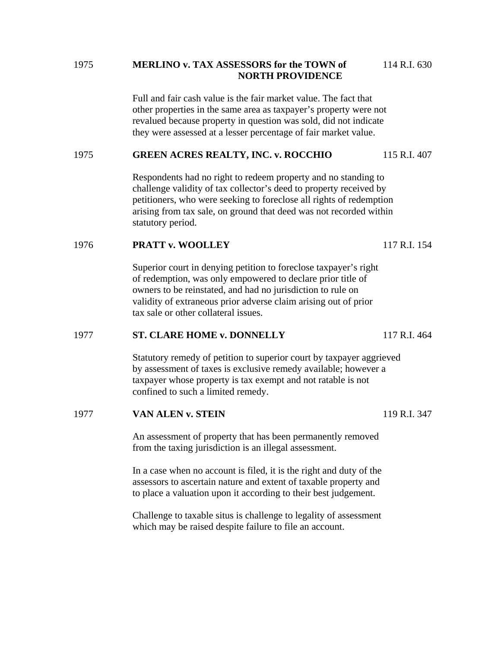# 1975 **MERLINO v. TAX ASSESSORS for the TOWN of** 114 R.I. 630 **NORTH PROVIDENCE**

Full and fair cash value is the fair market value. The fact that other properties in the same area as taxpayer's property were not revalued because property in question was sold, did not indicate they were assessed at a lesser percentage of fair market value.

# 1975 **GREEN ACRES REALTY, INC. v. ROCCHIO** 115 R.I. 407

 Respondents had no right to redeem property and no standing to challenge validity of tax collector's deed to property received by petitioners, who were seeking to foreclose all rights of redemption arising from tax sale, on ground that deed was not recorded within statutory period.

# 1976 **PRATT v. WOOLLEY** 117 R.I. 154

 Superior court in denying petition to foreclose taxpayer's right of redemption, was only empowered to declare prior title of owners to be reinstated, and had no jurisdiction to rule on validity of extraneous prior adverse claim arising out of prior tax sale or other collateral issues.

#### 1977 **ST. CLARE HOME v. DONNELLY** 117 R.I. 464

 Statutory remedy of petition to superior court by taxpayer aggrieved by assessment of taxes is exclusive remedy available; however a taxpayer whose property is tax exempt and not ratable is not confined to such a limited remedy.

#### 1977 **VAN ALEN v. STEIN** 119 R.I. 347

 An assessment of property that has been permanently removed from the taxing jurisdiction is an illegal assessment.

 In a case when no account is filed, it is the right and duty of the assessors to ascertain nature and extent of taxable property and to place a valuation upon it according to their best judgement.

 Challenge to taxable situs is challenge to legality of assessment which may be raised despite failure to file an account.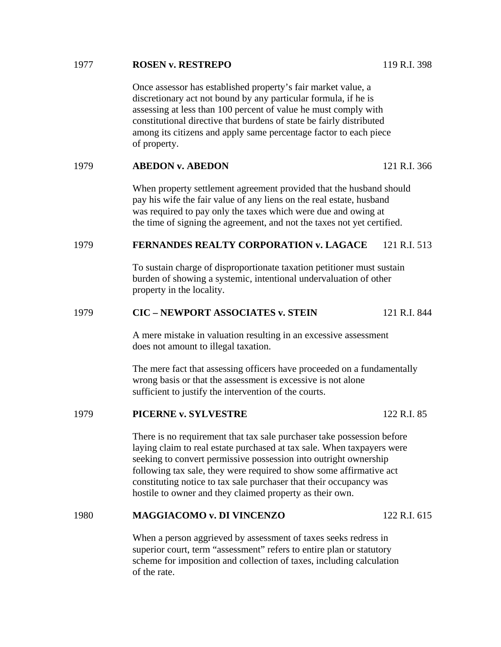## 1977 **ROSEN v. RESTREPO** 119 R.I. 398

 Once assessor has established property's fair market value, a discretionary act not bound by any particular formula, if he is assessing at less than 100 percent of value he must comply with constitutional directive that burdens of state be fairly distributed among its citizens and apply same percentage factor to each piece of property.

#### 1979 **ABEDON v. ABEDON** 121 R.I. 366

 When property settlement agreement provided that the husband should pay his wife the fair value of any liens on the real estate, husband was required to pay only the taxes which were due and owing at the time of signing the agreement, and not the taxes not yet certified.

# 1979 **FERNANDES REALTY CORPORATION v. LAGACE** 121 R.I. 513

 To sustain charge of disproportionate taxation petitioner must sustain burden of showing a systemic, intentional undervaluation of other property in the locality.

# 1979 **CIC – NEWPORT ASSOCIATES v. STEIN** 121 R.I. 844

 A mere mistake in valuation resulting in an excessive assessment does not amount to illegal taxation.

 The mere fact that assessing officers have proceeded on a fundamentally wrong basis or that the assessment is excessive is not alone sufficient to justify the intervention of the courts.

#### 1979 **PICERNE v. SYLVESTRE** 122 R.I. 85

 There is no requirement that tax sale purchaser take possession before laying claim to real estate purchased at tax sale. When taxpayers were seeking to convert permissive possession into outright ownership following tax sale, they were required to show some affirmative act constituting notice to tax sale purchaser that their occupancy was hostile to owner and they claimed property as their own.

# 1980 **MAGGIACOMO v. DI VINCENZO** 122 R.I. 615

 When a person aggrieved by assessment of taxes seeks redress in superior court, term "assessment" refers to entire plan or statutory scheme for imposition and collection of taxes, including calculation of the rate.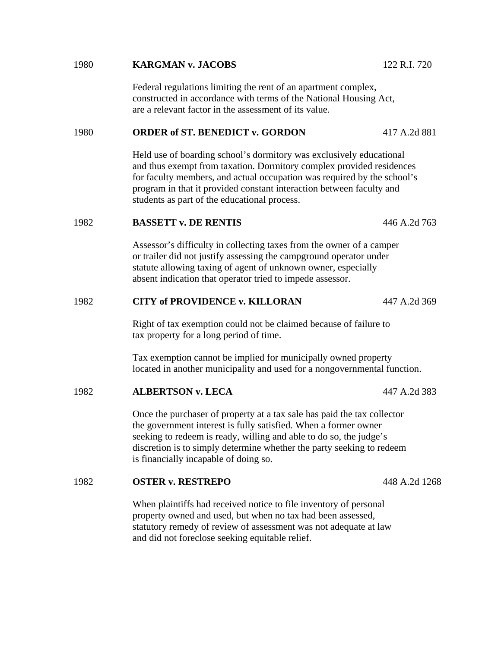# Held use of boarding school's dormitory was exclusively educational and thus exempt from taxation. Dormitory complex provided residences for faculty members, and actual occupation was required by the school's program in that it provided constant interaction between faculty and students as part of the educational process. 1982 **BASSETT v. DE RENTIS** 446 A.2d 763 Assessor's difficulty in collecting taxes from the owner of a camper or trailer did not justify assessing the campground operator under statute allowing taxing of agent of unknown owner, especially absent indication that operator tried to impede assessor. 1982 **CITY of PROVIDENCE v. KILLORAN** 447 A.2d 369 Right of tax exemption could not be claimed because of failure to tax property for a long period of time. Tax exemption cannot be implied for municipally owned property located in another municipality and used for a nongovernmental function. 1982 **ALBERTSON v. LECA** 447 A.2d 383 Once the purchaser of property at a tax sale has paid the tax collector the government interest is fully satisfied. When a former owner seeking to redeem is ready, willing and able to do so, the judge's discretion is to simply determine whether the party seeking to redeem is financially incapable of doing so. 1982 **OSTER v. RESTREPO** 448 A.2d 1268

 Federal regulations limiting the rent of an apartment complex, constructed in accordance with terms of the National Housing Act,

 When plaintiffs had received notice to file inventory of personal property owned and used, but when no tax had been assessed, statutory remedy of review of assessment was not adequate at law and did not foreclose seeking equitable relief.

are a relevant factor in the assessment of its value.

# 1980 **KARGMAN v. JACOBS** 122 R.I. 720

1980 **ORDER of ST. BENEDICT v. GORDON** 417 A.2d 881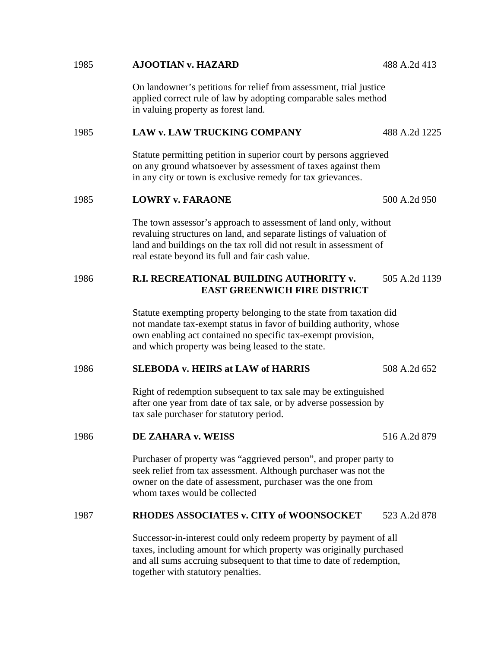# applied correct rule of law by adopting comparable sales method in valuing property as forest land. 1985 **LAW v. LAW TRUCKING COMPANY** 488 A.2d 1225 Statute permitting petition in superior court by persons aggrieved on any ground whatsoever by assessment of taxes against them in any city or town is exclusive remedy for tax grievances. 1985 **LOWRY v. FARAONE** 500 A.2d 950 The town assessor's approach to assessment of land only, without revaluing structures on land, and separate listings of valuation of land and buildings on the tax roll did not result in assessment of real estate beyond its full and fair cash value. 1986 **R.I. RECREATIONAL BUILDING AUTHORITY v.** 505 A.2d 1139  **EAST GREENWICH FIRE DISTRICT**  Statute exempting property belonging to the state from taxation did not mandate tax-exempt status in favor of building authority, whose own enabling act contained no specific tax-exempt provision, and which property was being leased to the state. 1986 **SLEBODA v. HEIRS at LAW of HARRIS** 508 A.2d 652 Right of redemption subsequent to tax sale may be extinguished after one year from date of tax sale, or by adverse possession by tax sale purchaser for statutory period. 1986 **DE ZAHARA v. WEISS** 516 A.2d 879 Purchaser of property was "aggrieved person", and proper party to seek relief from tax assessment. Although purchaser was not the owner on the date of assessment, purchaser was the one from whom taxes would be collected 1987 **RHODES ASSOCIATES v. CITY of WOONSOCKET** 523 A.2d 878 Successor-in-interest could only redeem property by payment of all taxes, including amount for which property was originally purchased and all sums accruing subsequent to that time to date of redemption, together with statutory penalties.

On landowner's petitions for relief from assessment, trial justice

1985 **AJOOTIAN v. HAZARD** 488 A.2d 413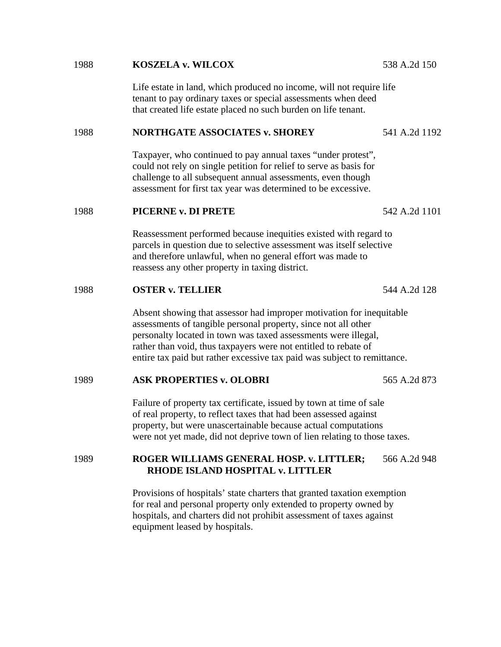# Life estate in land, which produced no income, will not require life tenant to pay ordinary taxes or special assessments when deed that created life estate placed no such burden on life tenant. 1988 **NORTHGATE ASSOCIATES v. SHOREY** 541 A.2d 1192 Taxpayer, who continued to pay annual taxes "under protest", could not rely on single petition for relief to serve as basis for challenge to all subsequent annual assessments, even though assessment for first tax year was determined to be excessive. 1988 **PICERNE v. DI PRETE** 542 A.2d 1101 Reassessment performed because inequities existed with regard to parcels in question due to selective assessment was itself selective and therefore unlawful, when no general effort was made to reassess any other property in taxing district. 1988 **OSTER v. TELLIER** 544 A.2d 128 Absent showing that assessor had improper motivation for inequitable assessments of tangible personal property, since not all other personalty located in town was taxed assessments were illegal, rather than void, thus taxpayers were not entitled to rebate of entire tax paid but rather excessive tax paid was subject to remittance. 1989 **ASK PROPERTIES v. OLOBRI** 565 A.2d 873 Failure of property tax certificate, issued by town at time of sale of real property, to reflect taxes that had been assessed against property, but were unascertainable because actual computations were not yet made, did not deprive town of lien relating to those taxes. 1989 **ROGER WILLIAMS GENERAL HOSP. v. LITTLER;** 566 A.2d 948 **RHODE ISLAND HOSPITAL v. LITTLER**

1988 **KOSZELA v. WILCOX** 538 A.2d 150

Provisions of hospitals' state charters that granted taxation exemption for real and personal property only extended to property owned by hospitals, and charters did not prohibit assessment of taxes against equipment leased by hospitals.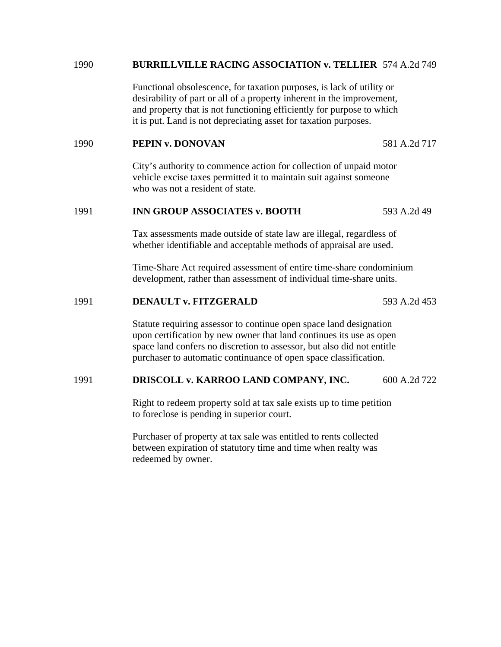#### 1990 **BURRILLVILLE RACING ASSOCIATION v. TELLIER** 574 A.2d 749

 Functional obsolescence, for taxation purposes, is lack of utility or desirability of part or all of a property inherent in the improvement, and property that is not functioning efficiently for purpose to which it is put. Land is not depreciating asset for taxation purposes.

#### 1990 **PEPIN v. DONOVAN** 581 A.2d 717

 City's authority to commence action for collection of unpaid motor vehicle excise taxes permitted it to maintain suit against someone who was not a resident of state.

# 1991 **INN GROUP ASSOCIATES v. BOOTH** 593 A.2d 49

 Tax assessments made outside of state law are illegal, regardless of whether identifiable and acceptable methods of appraisal are used.

 Time-Share Act required assessment of entire time-share condominium development, rather than assessment of individual time-share units.

#### 1991 **DENAULT v. FITZGERALD** 593 A.2d 453

 Statute requiring assessor to continue open space land designation upon certification by new owner that land continues its use as open space land confers no discretion to assessor, but also did not entitle purchaser to automatic continuance of open space classification.

#### 1991 **DRISCOLL v. KARROO LAND COMPANY, INC.** 600 A.2d 722

 Right to redeem property sold at tax sale exists up to time petition to foreclose is pending in superior court.

 Purchaser of property at tax sale was entitled to rents collected between expiration of statutory time and time when realty was redeemed by owner.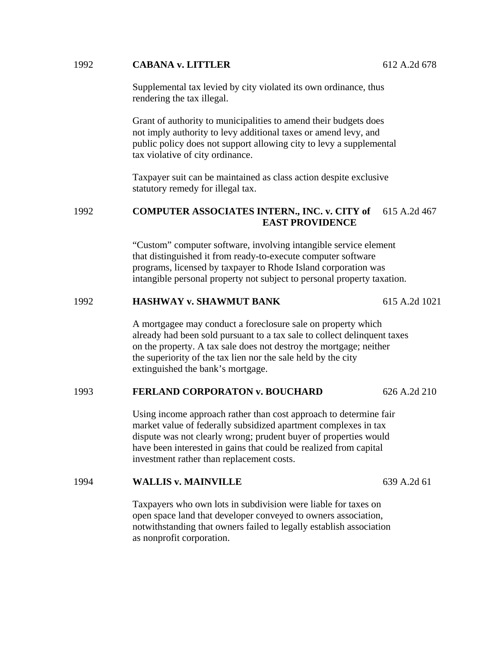# 1992 **CABANA v. LITTLER** 612 A.2d 678

 Supplemental tax levied by city violated its own ordinance, thus rendering the tax illegal.

 Grant of authority to municipalities to amend their budgets does not imply authority to levy additional taxes or amend levy, and public policy does not support allowing city to levy a supplemental tax violative of city ordinance.

 Taxpayer suit can be maintained as class action despite exclusive statutory remedy for illegal tax.

# 1992 **COMPUTER ASSOCIATES INTERN., INC. v. CITY of** 615 A.2d 467  **EAST PROVIDENCE**

"Custom" computer software, involving intangible service element that distinguished it from ready-to-execute computer software programs, licensed by taxpayer to Rhode Island corporation was intangible personal property not subject to personal property taxation.

# 1992 **HASHWAY v. SHAWMUT BANK** 615 A.2d 1021

 A mortgagee may conduct a foreclosure sale on property which already had been sold pursuant to a tax sale to collect delinquent taxes on the property. A tax sale does not destroy the mortgage; neither the superiority of the tax lien nor the sale held by the city extinguished the bank's mortgage.

# 1993 **FERLAND CORPORATON v. BOUCHARD** 626 A.2d 210

 Using income approach rather than cost approach to determine fair market value of federally subsidized apartment complexes in tax dispute was not clearly wrong; prudent buyer of properties would have been interested in gains that could be realized from capital investment rather than replacement costs.

#### 1994 **WALLIS v. MAINVILLE** 639 A.2d 61

 Taxpayers who own lots in subdivision were liable for taxes on open space land that developer conveyed to owners association, notwithstanding that owners failed to legally establish association as nonprofit corporation.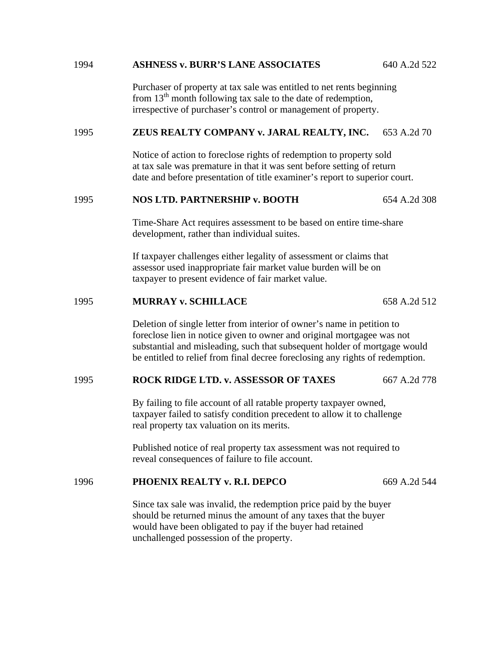# 1994 **ASHNESS v. BURR'S LANE ASSOCIATES** 640 A.2d 522

 Purchaser of property at tax sale was entitled to net rents beginning from  $13<sup>th</sup>$  month following tax sale to the date of redemption, irrespective of purchaser's control or management of property.

## 1995 **ZEUS REALTY COMPANY v. JARAL REALTY, INC.** 653 A.2d 70

 Notice of action to foreclose rights of redemption to property sold at tax sale was premature in that it was sent before setting of return date and before presentation of title examiner's report to superior court.

# 1995 **NOS LTD. PARTNERSHIP v. BOOTH** 654 A.2d 308

 Time-Share Act requires assessment to be based on entire time-share development, rather than individual suites.

 If taxpayer challenges either legality of assessment or claims that assessor used inappropriate fair market value burden will be on taxpayer to present evidence of fair market value.

# 1995 **MURRAY v. SCHILLACE** 658 A.2d 512

 Deletion of single letter from interior of owner's name in petition to foreclose lien in notice given to owner and original mortgagee was not substantial and misleading, such that subsequent holder of mortgage would be entitled to relief from final decree foreclosing any rights of redemption.

#### 1995 **ROCK RIDGE LTD. v. ASSESSOR OF TAXES** 667 A.2d 778

 By failing to file account of all ratable property taxpayer owned, taxpayer failed to satisfy condition precedent to allow it to challenge real property tax valuation on its merits.

 Published notice of real property tax assessment was not required to reveal consequences of failure to file account.

# 1996 **PHOENIX REALTY v. R.I. DEPCO** 669 A.2d 544

 Since tax sale was invalid, the redemption price paid by the buyer should be returned minus the amount of any taxes that the buyer would have been obligated to pay if the buyer had retained unchallenged possession of the property.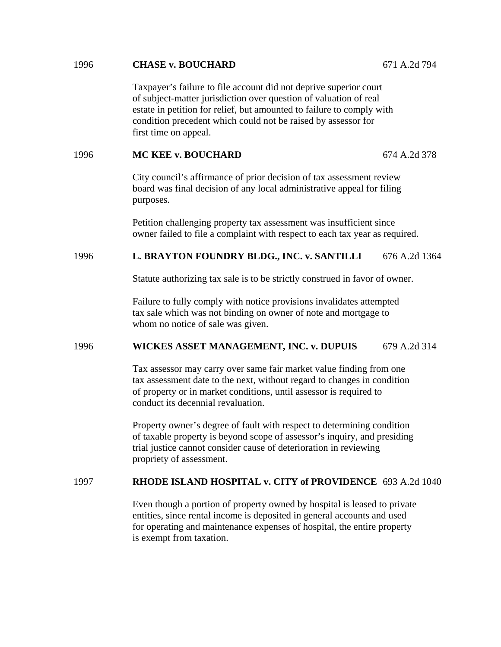# Taxpayer's failure to file account did not deprive superior court of subject-matter jurisdiction over question of valuation of real estate in petition for relief, but amounted to failure to comply with condition precedent which could not be raised by assessor for first time on appeal. 1996 **MC KEE v. BOUCHARD** 674 A.2d 378 City council's affirmance of prior decision of tax assessment review board was final decision of any local administrative appeal for filing purposes. Petition challenging property tax assessment was insufficient since owner failed to file a complaint with respect to each tax year as required. 1996 **L. BRAYTON FOUNDRY BLDG., INC. v. SANTILLI** 676 A.2d 1364 Statute authorizing tax sale is to be strictly construed in favor of owner. Failure to fully comply with notice provisions invalidates attempted tax sale which was not binding on owner of note and mortgage to whom no notice of sale was given. 1996 **WICKES ASSET MANAGEMENT, INC. v. DUPUIS** 679 A.2d 314 Tax assessor may carry over same fair market value finding from one

 tax assessment date to the next, without regard to changes in condition of property or in market conditions, until assessor is required to conduct its decennial revaluation.

 Property owner's degree of fault with respect to determining condition of taxable property is beyond scope of assessor's inquiry, and presiding trial justice cannot consider cause of deterioration in reviewing propriety of assessment.

# 1997 **RHODE ISLAND HOSPITAL v. CITY of PROVIDENCE** 693 A.2d 1040

 Even though a portion of property owned by hospital is leased to private entities, since rental income is deposited in general accounts and used for operating and maintenance expenses of hospital, the entire property is exempt from taxation.

1996 **CHASE v. BOUCHARD** 671 A.2d 794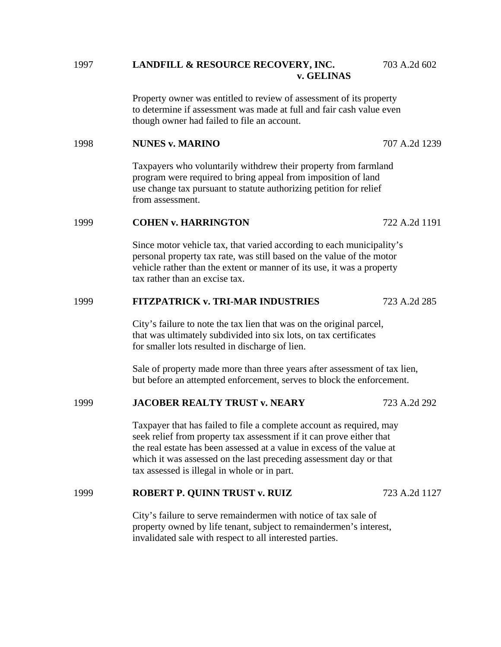# 1997 **LANDFILL & RESOURCE RECOVERY, INC.** 703 A.2d 602 **v. GELINAS**

Property owner was entitled to review of assessment of its property to determine if assessment was made at full and fair cash value even though owner had failed to file an account.

# 1998 **NUNES v. MARINO** 707 A.2d 1239

 Taxpayers who voluntarily withdrew their property from farmland program were required to bring appeal from imposition of land use change tax pursuant to statute authorizing petition for relief from assessment.

#### 1999 **COHEN v. HARRINGTON** 722 A.2d 1191

 Since motor vehicle tax, that varied according to each municipality's personal property tax rate, was still based on the value of the motor vehicle rather than the extent or manner of its use, it was a property tax rather than an excise tax.

## 1999 **FITZPATRICK v. TRI-MAR INDUSTRIES** 723 A.2d 285

 City's failure to note the tax lien that was on the original parcel, that was ultimately subdivided into six lots, on tax certificates for smaller lots resulted in discharge of lien.

 Sale of property made more than three years after assessment of tax lien, but before an attempted enforcement, serves to block the enforcement.

#### 1999 **JACOBER REALTY TRUST v. NEARY** 723 A.2d 292

 Taxpayer that has failed to file a complete account as required, may seek relief from property tax assessment if it can prove either that the real estate has been assessed at a value in excess of the value at which it was assessed on the last preceding assessment day or that tax assessed is illegal in whole or in part.

# 1999 **ROBERT P. QUINN TRUST v. RUIZ** 723 A.2d 1127

 City's failure to serve remaindermen with notice of tax sale of property owned by life tenant, subject to remaindermen's interest, invalidated sale with respect to all interested parties.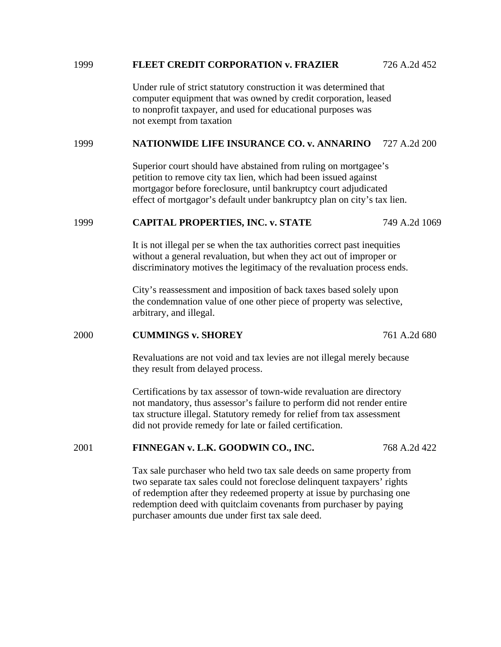#### 1999 **FLEET CREDIT CORPORATION v. FRAZIER** 726 A.2d 452

 Under rule of strict statutory construction it was determined that computer equipment that was owned by credit corporation, leased to nonprofit taxpayer, and used for educational purposes was not exempt from taxation

# 1999 **NATIONWIDE LIFE INSURANCE CO. v. ANNARINO** 727 A.2d 200

 Superior court should have abstained from ruling on mortgagee's petition to remove city tax lien, which had been issued against mortgagor before foreclosure, until bankruptcy court adjudicated effect of mortgagor's default under bankruptcy plan on city's tax lien.

#### 1999 **CAPITAL PROPERTIES, INC. v. STATE** 749 A.2d 1069

 It is not illegal per se when the tax authorities correct past inequities without a general revaluation, but when they act out of improper or discriminatory motives the legitimacy of the revaluation process ends.

 City's reassessment and imposition of back taxes based solely upon the condemnation value of one other piece of property was selective, arbitrary, and illegal.

#### 2000 **CUMMINGS v. SHOREY** 761 A.2d 680

 Revaluations are not void and tax levies are not illegal merely because they result from delayed process.

 Certifications by tax assessor of town-wide revaluation are directory not mandatory, thus assessor's failure to perform did not render entire tax structure illegal. Statutory remedy for relief from tax assessment did not provide remedy for late or failed certification.

# 2001 **FINNEGAN v. L.K. GOODWIN CO., INC.** 768 A.2d 422

 Tax sale purchaser who held two tax sale deeds on same property from two separate tax sales could not foreclose delinquent taxpayers' rights of redemption after they redeemed property at issue by purchasing one redemption deed with quitclaim covenants from purchaser by paying purchaser amounts due under first tax sale deed.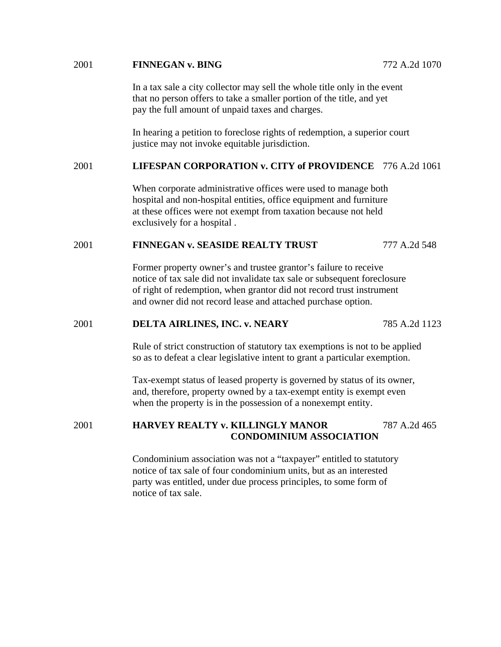## 2001 **FINNEGAN v. BING** 772 A.2d 1070

 In a tax sale a city collector may sell the whole title only in the event that no person offers to take a smaller portion of the title, and yet pay the full amount of unpaid taxes and charges.

 In hearing a petition to foreclose rights of redemption, a superior court justice may not invoke equitable jurisdiction.

# 2001 **LIFESPAN CORPORATION v. CITY of PROVIDENCE** 776 A.2d 1061

 When corporate administrative offices were used to manage both hospital and non-hospital entities, office equipment and furniture at these offices were not exempt from taxation because not held exclusively for a hospital .

## 2001 **FINNEGAN v. SEASIDE REALTY TRUST** 777 A.2d 548

 Former property owner's and trustee grantor's failure to receive notice of tax sale did not invalidate tax sale or subsequent foreclosure of right of redemption, when grantor did not record trust instrument and owner did not record lease and attached purchase option.

#### 2001 **DELTA AIRLINES, INC. v. NEARY** 785 A.2d 1123

 Rule of strict construction of statutory tax exemptions is not to be applied so as to defeat a clear legislative intent to grant a particular exemption.

 Tax-exempt status of leased property is governed by status of its owner, and, therefore, property owned by a tax-exempt entity is exempt even when the property is in the possession of a nonexempt entity.

# 2001 **HARVEY REALTY v. KILLINGLY MANOR** 787 A.2d 465  **CONDOMINIUM ASSOCIATION**

 Condominium association was not a "taxpayer" entitled to statutory notice of tax sale of four condominium units, but as an interested party was entitled, under due process principles, to some form of notice of tax sale.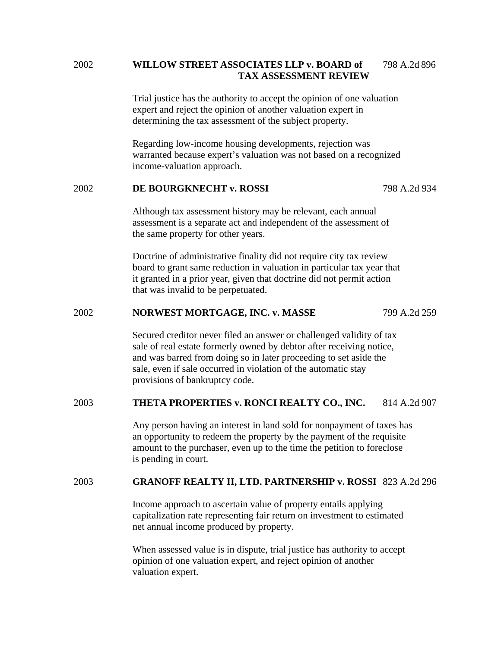# 2002 **WILLOW STREET ASSOCIATES LLP v. BOARD of** 798 A.2d 896  **TAX ASSESSMENT REVIEW**

 Trial justice has the authority to accept the opinion of one valuation expert and reject the opinion of another valuation expert in determining the tax assessment of the subject property.

 Regarding low-income housing developments, rejection was warranted because expert's valuation was not based on a recognized income-valuation approach.

# 2002 **DE BOURGKNECHT v. ROSSI** 798 A.2d 934

 Although tax assessment history may be relevant, each annual assessment is a separate act and independent of the assessment of the same property for other years.

 Doctrine of administrative finality did not require city tax review board to grant same reduction in valuation in particular tax year that it granted in a prior year, given that doctrine did not permit action that was invalid to be perpetuated.

## 2002 **NORWEST MORTGAGE, INC. v. MASSE** 799 A.2d 259

 Secured creditor never filed an answer or challenged validity of tax sale of real estate formerly owned by debtor after receiving notice, and was barred from doing so in later proceeding to set aside the sale, even if sale occurred in violation of the automatic stay provisions of bankruptcy code.

# 2003 **THETA PROPERTIES v. RONCI REALTY CO., INC.** 814 A.2d 907

 Any person having an interest in land sold for nonpayment of taxes has an opportunity to redeem the property by the payment of the requisite amount to the purchaser, even up to the time the petition to foreclose is pending in court.

#### 2003 **GRANOFF REALTY II, LTD. PARTNERSHIP v. ROSSI** 823 A.2d 296

 Income approach to ascertain value of property entails applying capitalization rate representing fair return on investment to estimated net annual income produced by property.

 When assessed value is in dispute, trial justice has authority to accept opinion of one valuation expert, and reject opinion of another valuation expert.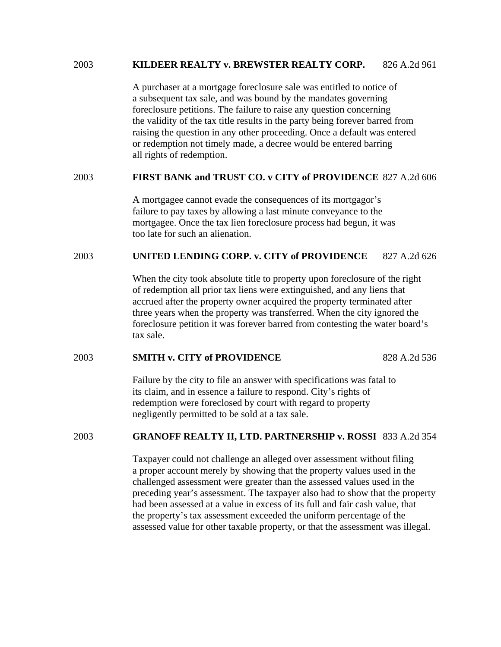#### 2003 **KILDEER REALTY v. BREWSTER REALTY CORP.** 826 A.2d 961

 A purchaser at a mortgage foreclosure sale was entitled to notice of a subsequent tax sale, and was bound by the mandates governing foreclosure petitions. The failure to raise any question concerning the validity of the tax title results in the party being forever barred from raising the question in any other proceeding. Once a default was entered or redemption not timely made, a decree would be entered barring all rights of redemption.

# 2003 **FIRST BANK and TRUST CO. v CITY of PROVIDENCE** 827 A.2d 606

 A mortgagee cannot evade the consequences of its mortgagor's failure to pay taxes by allowing a last minute conveyance to the mortgagee. Once the tax lien foreclosure process had begun, it was too late for such an alienation.

## 2003 **UNITED LENDING CORP. v. CITY of PROVIDENCE** 827 A.2d 626

 When the city took absolute title to property upon foreclosure of the right of redemption all prior tax liens were extinguished, and any liens that accrued after the property owner acquired the property terminated after three years when the property was transferred. When the city ignored the foreclosure petition it was forever barred from contesting the water board's tax sale.

# 2003 **SMITH v. CITY of PROVIDENCE** 828 A.2d 536

 Failure by the city to file an answer with specifications was fatal to its claim, and in essence a failure to respond. City's rights of redemption were foreclosed by court with regard to property negligently permitted to be sold at a tax sale.

# 2003 **GRANOFF REALTY II, LTD. PARTNERSHIP v. ROSSI** 833 A.2d 354

 Taxpayer could not challenge an alleged over assessment without filing a proper account merely by showing that the property values used in the challenged assessment were greater than the assessed values used in the preceding year's assessment. The taxpayer also had to show that the property had been assessed at a value in excess of its full and fair cash value, that the property's tax assessment exceeded the uniform percentage of the assessed value for other taxable property, or that the assessment was illegal.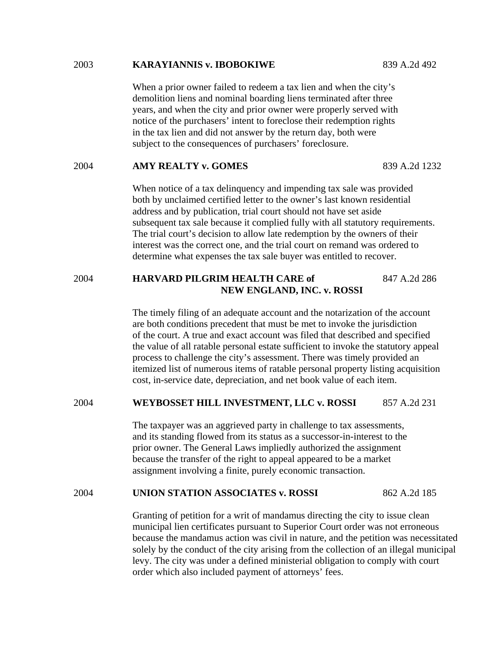#### 2003 **KARAYIANNIS v. IBOBOKIWE** 839 A.2d 492

 When a prior owner failed to redeem a tax lien and when the city's demolition liens and nominal boarding liens terminated after three years, and when the city and prior owner were properly served with notice of the purchasers' intent to foreclose their redemption rights in the tax lien and did not answer by the return day, both were subject to the consequences of purchasers' foreclosure.

#### 2004 **AMY REALTY v. GOMES** 839 A.2d 1232

 When notice of a tax delinquency and impending tax sale was provided both by unclaimed certified letter to the owner's last known residential address and by publication, trial court should not have set aside subsequent tax sale because it complied fully with all statutory requirements. The trial court's decision to allow late redemption by the owners of their interest was the correct one, and the trial court on remand was ordered to determine what expenses the tax sale buyer was entitled to recover.

# 2004 **HARVARD PILGRIM HEALTH CARE of** 847 A.2d 286 **NEW ENGLAND, INC. v. ROSSI**

The timely filing of an adequate account and the notarization of the account are both conditions precedent that must be met to invoke the jurisdiction of the court. A true and exact account was filed that described and specified the value of all ratable personal estate sufficient to invoke the statutory appeal process to challenge the city's assessment. There was timely provided an itemized list of numerous items of ratable personal property listing acquisition cost, in-service date, depreciation, and net book value of each item.

#### 2004 **WEYBOSSET HILL INVESTMENT, LLC v. ROSSI** 857 A.2d 231

 The taxpayer was an aggrieved party in challenge to tax assessments, and its standing flowed from its status as a successor-in-interest to the prior owner. The General Laws impliedly authorized the assignment because the transfer of the right to appeal appeared to be a market assignment involving a finite, purely economic transaction.

#### 2004 **UNION STATION ASSOCIATES v. ROSSI** 862 A.2d 185

 Granting of petition for a writ of mandamus directing the city to issue clean municipal lien certificates pursuant to Superior Court order was not erroneous because the mandamus action was civil in nature, and the petition was necessitated solely by the conduct of the city arising from the collection of an illegal municipal levy. The city was under a defined ministerial obligation to comply with court order which also included payment of attorneys' fees.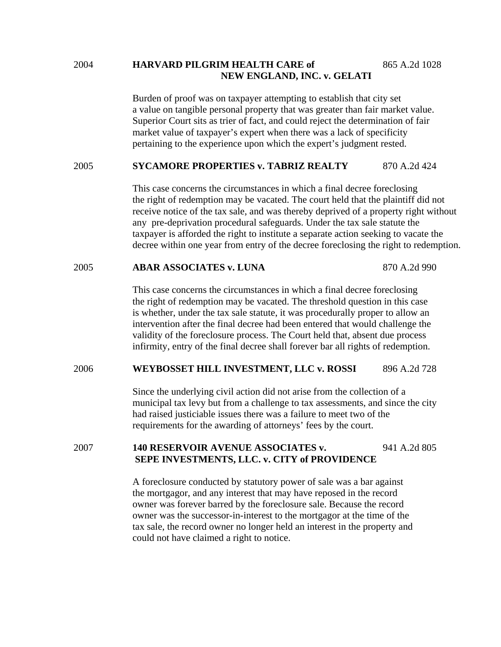## 2004 **HARVARD PILGRIM HEALTH CARE of** 865 A.2d 1028 **NEW ENGLAND, INC. v. GELATI**

 Burden of proof was on taxpayer attempting to establish that city set a value on tangible personal property that was greater than fair market value. Superior Court sits as trier of fact, and could reject the determination of fair market value of taxpayer's expert when there was a lack of specificity pertaining to the experience upon which the expert's judgment rested.

#### 2005 **SYCAMORE PROPERTIES v. TABRIZ REALTY** 870 A.2d 424

 This case concerns the circumstances in which a final decree foreclosing the right of redemption may be vacated. The court held that the plaintiff did not receive notice of the tax sale, and was thereby deprived of a property right without any pre-deprivation procedural safeguards. Under the tax sale statute the taxpayer is afforded the right to institute a separate action seeking to vacate the decree within one year from entry of the decree foreclosing the right to redemption.

# 2005 **ABAR ASSOCIATES v. LUNA** 870 A.2d 990

 This case concerns the circumstances in which a final decree foreclosing the right of redemption may be vacated. The threshold question in this case is whether, under the tax sale statute, it was procedurally proper to allow an intervention after the final decree had been entered that would challenge the validity of the foreclosure process. The Court held that, absent due process infirmity, entry of the final decree shall forever bar all rights of redemption.

## 2006 **WEYBOSSET HILL INVESTMENT, LLC v. ROSSI** 896 A.2d 728

 Since the underlying civil action did not arise from the collection of a municipal tax levy but from a challenge to tax assessments, and since the city had raised justiciable issues there was a failure to meet two of the requirements for the awarding of attorneys' fees by the court.

# 2007 **140 RESERVOIR AVENUE ASSOCIATES v.** 941 A.2d 805 **SEPE INVESTMENTS, LLC. v. CITY of PROVIDENCE**

A foreclosure conducted by statutory power of sale was a bar against the mortgagor, and any interest that may have reposed in the record owner was forever barred by the foreclosure sale. Because the record owner was the successor-in-interest to the mortgagor at the time of the tax sale, the record owner no longer held an interest in the property and could not have claimed a right to notice.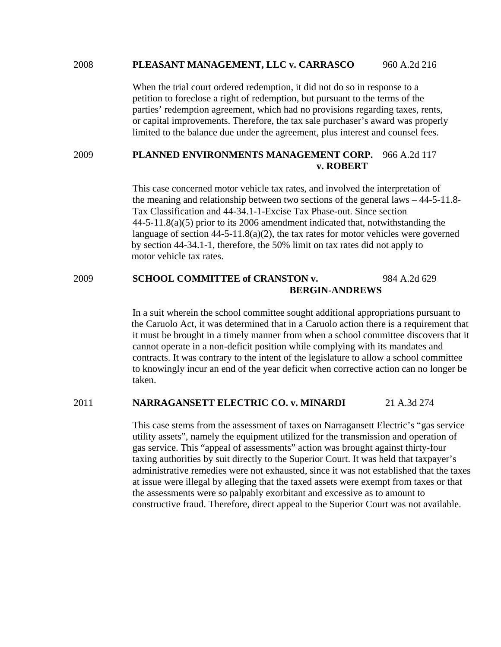#### 2008 **PLEASANT MANAGEMENT, LLC v. CARRASCO** 960 A.2d 216

 When the trial court ordered redemption, it did not do so in response to a petition to foreclose a right of redemption, but pursuant to the terms of the parties' redemption agreement, which had no provisions regarding taxes, rents, or capital improvements. Therefore, the tax sale purchaser's award was properly limited to the balance due under the agreement, plus interest and counsel fees.

#### 2009 **PLANNED ENVIRONMENTS MANAGEMENT CORP.** 966 A.2d 117  **v. ROBERT**

 This case concerned motor vehicle tax rates, and involved the interpretation of the meaning and relationship between two sections of the general laws – 44-5-11.8- Tax Classification and 44-34.1-1-Excise Tax Phase-out. Since section 44-5-11.8(a)(5) prior to its 2006 amendment indicated that, notwithstanding the language of section  $44-5-11.8(a)(2)$ , the tax rates for motor vehicles were governed by section 44-34.1-1, therefore, the 50% limit on tax rates did not apply to motor vehicle tax rates.

# 2009 **SCHOOL COMMITTEE of CRANSTON v.** 984 A.2d 629  **BERGIN-ANDREWS**

In a suit wherein the school committee sought additional appropriations pursuant to the Caruolo Act, it was determined that in a Caruolo action there is a requirement that it must be brought in a timely manner from when a school committee discovers that it cannot operate in a non-deficit position while complying with its mandates and contracts. It was contrary to the intent of the legislature to allow a school committee to knowingly incur an end of the year deficit when corrective action can no longer be taken.

#### 2011 **NARRAGANSETT ELECTRIC CO. v. MINARDI** 21 A.3d 274

This case stems from the assessment of taxes on Narragansett Electric's "gas service utility assets", namely the equipment utilized for the transmission and operation of gas service. This "appeal of assessments" action was brought against thirty-four taxing authorities by suit directly to the Superior Court. It was held that taxpayer's administrative remedies were not exhausted, since it was not established that the taxes at issue were illegal by alleging that the taxed assets were exempt from taxes or that the assessments were so palpably exorbitant and excessive as to amount to constructive fraud. Therefore, direct appeal to the Superior Court was not available.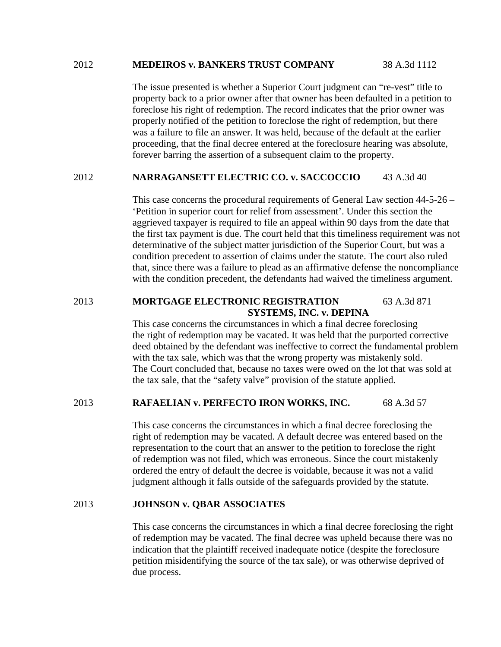#### 2012 **MEDEIROS v. BANKERS TRUST COMPANY** 38 A.3d 1112

 The issue presented is whether a Superior Court judgment can "re-vest" title to property back to a prior owner after that owner has been defaulted in a petition to foreclose his right of redemption. The record indicates that the prior owner was properly notified of the petition to foreclose the right of redemption, but there was a failure to file an answer. It was held, because of the default at the earlier proceeding, that the final decree entered at the foreclosure hearing was absolute, forever barring the assertion of a subsequent claim to the property.

## 2012 **NARRAGANSETT ELECTRIC CO. v. SACCOCCIO** 43 A.3d 40

 This case concerns the procedural requirements of General Law section 44-5-26 – 'Petition in superior court for relief from assessment'. Under this section the aggrieved taxpayer is required to file an appeal within 90 days from the date that the first tax payment is due. The court held that this timeliness requirement was not determinative of the subject matter jurisdiction of the Superior Court, but was a condition precedent to assertion of claims under the statute. The court also ruled that, since there was a failure to plead as an affirmative defense the noncompliance with the condition precedent, the defendants had waived the timeliness argument.

# 2013 **MORTGAGE ELECTRONIC REGISTRATION** 63 A.3d 871  **SYSTEMS, INC. v. DEPINA**

This case concerns the circumstances in which a final decree foreclosing the right of redemption may be vacated. It was held that the purported corrective deed obtained by the defendant was ineffective to correct the fundamental problem with the tax sale, which was that the wrong property was mistakenly sold. The Court concluded that, because no taxes were owed on the lot that was sold at the tax sale, that the "safety valve" provision of the statute applied.

# 2013 **RAFAELIAN v. PERFECTO IRON WORKS, INC.** 68 A.3d 57

This case concerns the circumstances in which a final decree foreclosing the right of redemption may be vacated. A default decree was entered based on the representation to the court that an answer to the petition to foreclose the right of redemption was not filed, which was erroneous. Since the court mistakenly ordered the entry of default the decree is voidable, because it was not a valid judgment although it falls outside of the safeguards provided by the statute.

# 2013 **JOHNSON v. QBAR ASSOCIATES**

This case concerns the circumstances in which a final decree foreclosing the right of redemption may be vacated. The final decree was upheld because there was no indication that the plaintiff received inadequate notice (despite the foreclosure petition misidentifying the source of the tax sale), or was otherwise deprived of due process.